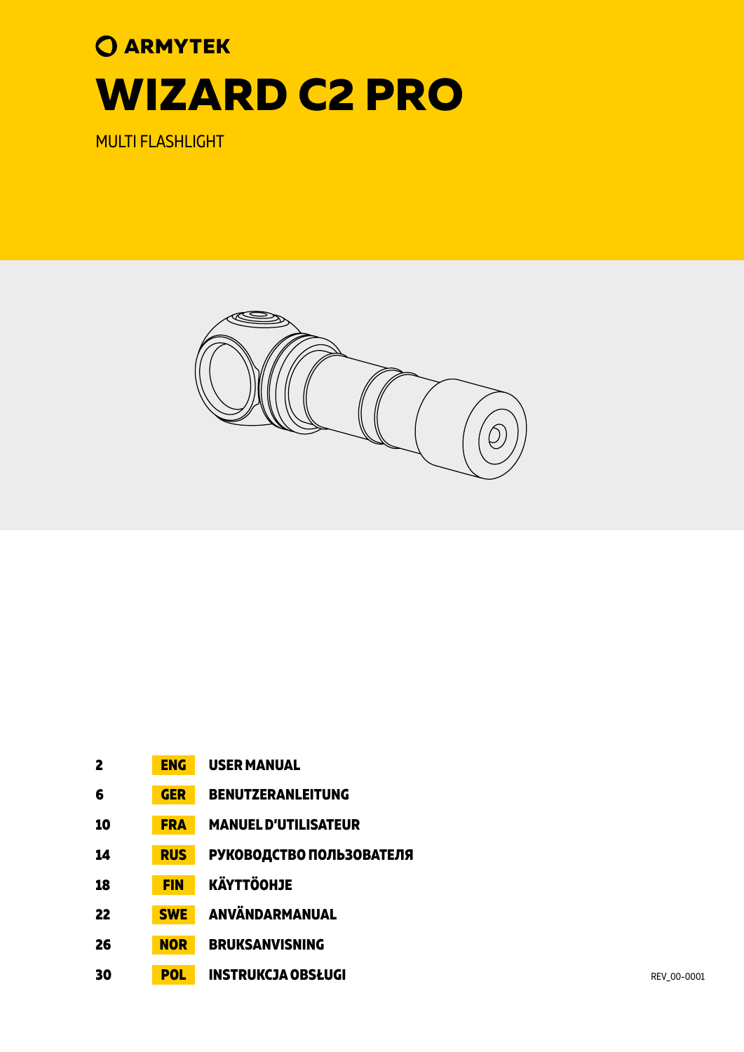

MULTI FLASHLIGHT



| $\overline{2}$ | <b>ENG</b> | <b>USER MANUAL</b>          |             |
|----------------|------------|-----------------------------|-------------|
| 6              | <b>GER</b> | <b>BENUTZERANLEITUNG</b>    |             |
| 10             | <b>FRA</b> | <b>MANUEL D'UTILISATEUR</b> |             |
| 14             | <b>RUS</b> | РУКОВОДСТВО ПОЛЬЗОВАТЕЛЯ    |             |
| 18             | <b>FIN</b> | <b>KÄYTTÖOHJE</b>           |             |
| 22             | <b>SWE</b> | ANVÄNDARMANUAL              |             |
| 26             | <b>NOR</b> | <b>BRUKSANVISNING</b>       |             |
| 30             | <b>POL</b> | <b>INSTRUKCJA OBSŁUGI</b>   | REV 00-0001 |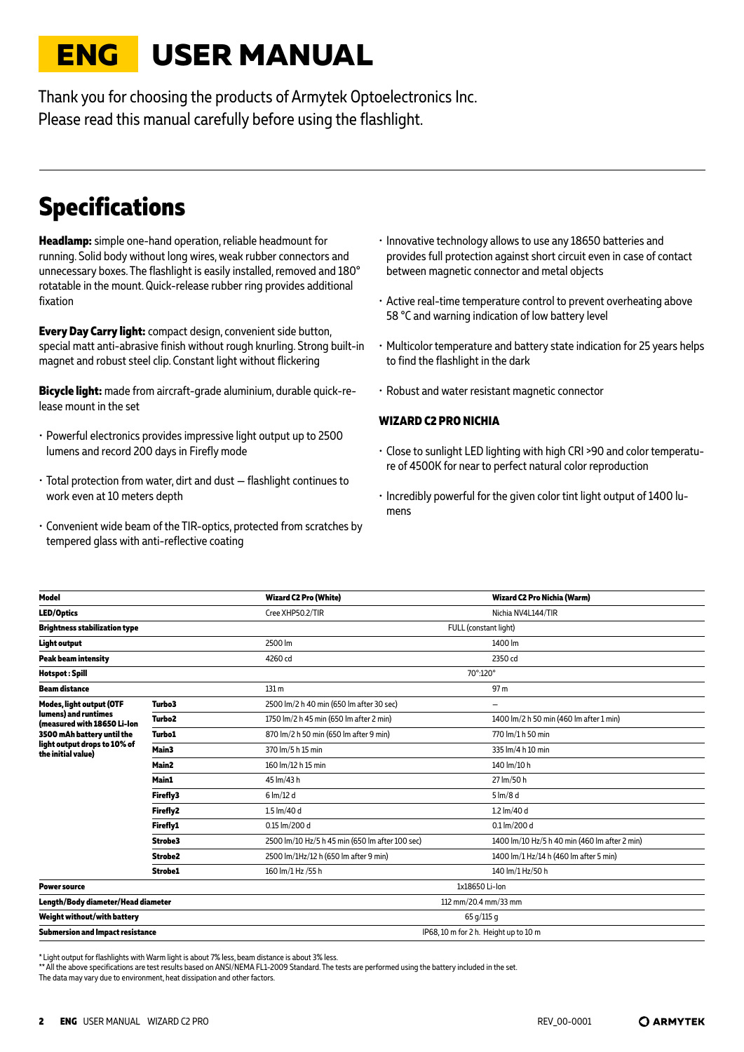# <span id="page-1-0"></span>**ENG USER MANUAL**

Thank you for choosing the products of Armytek Optoelectronics Inc. Please read this manual carefully before using the flashlight.

## **Specifications**

**Headlamp:** simple one-hand operation, reliable headmount for running. Solid body without long wires, weak rubber connectors and unnecessary boxes. The flashlight is easily installed, removed and 180° rotatable in the mount. Quick-release rubber ring provides additional fixation

**Every Day Carry light:** compact design, convenient side button, special matt anti-abrasive finish without rough knurling. Strong built-in magnet and robust steel clip. Constant light without flickering

**Bicycle light:** made from aircraft-grade aluminium, durable quick-release mount in the set

- Powerful electronics provides impressive light output up to 2500 lumens and record 200 days in Firefly mode
- Total protection from water, dirt and dust flashlight continues to work even at 10 meters depth
- Convenient wide beam of the TIR-optics, protected from scratches by tempered glass with anti-reflective coating
- Innovative technology allows to use any 18650 batteries and provides full protection against short circuit even in case of contact between magnetic connector and metal objects
- Active real-time temperature control to prevent overheating above 58 °C and warning indication of low battery level
- Multicolor temperature and battery state indication for 25 years helps to find the flashlight in the dark
- Robust and water resistant magnetic connector

#### **WIZARD C2 PRO NICHIA**

- Close to sunlight LED lighting with high CRI >90 and color temperature of 4500K for near to perfect natural color reproduction
- Incredibly powerful for the given color tint light output of 1400 lumens

| Model                                               |                     | <b>Wizard C2 Pro (White)</b>                    | Wizard C2 Pro Nichia (Warm)                   |  |
|-----------------------------------------------------|---------------------|-------------------------------------------------|-----------------------------------------------|--|
| <b>LED/Optics</b>                                   |                     | Cree XHP50.2/TIR                                | Nichia NV4L144/TIR                            |  |
| <b>Brightness stabilization type</b>                |                     |                                                 | FULL (constant light)                         |  |
| <b>Light output</b>                                 |                     | 2500 lm                                         | 1400 lm                                       |  |
| <b>Peak beam intensity</b>                          |                     | 4260 cd                                         | 2350 cd                                       |  |
| <b>Hotspot: Spill</b>                               |                     |                                                 | 70°:120°                                      |  |
| <b>Beam distance</b>                                |                     | 131 <sub>m</sub>                                | 97 <sub>m</sub>                               |  |
| Modes, light output (OTF                            | Turbo3              | 2500 lm/2 h 40 min (650 lm after 30 sec)        | -                                             |  |
| lumens) and runtimes<br>(measured with 18650 Li-lon | Turbo <sub>2</sub>  | 1750 lm/2 h 45 min (650 lm after 2 min)         | 1400 lm/2 h 50 min (460 lm after 1 min)       |  |
| 3500 mAh battery until the                          | Turbo1              | 870 lm/2 h 50 min (650 lm after 9 min)          | 770 lm/1 h 50 min                             |  |
| light output drops to 10% of<br>the initial value)  | Main3               | 370 lm/5 h 15 min                               | 335 lm/4 h 10 min                             |  |
|                                                     | Main <sub>2</sub>   | 160 lm/12 h 15 min                              | 140 lm/10 h                                   |  |
|                                                     | Main1               | 45 lm/43 h                                      | 27 lm/50 h                                    |  |
|                                                     | Firefly3            | 6 lm/12 d                                       | $5 \, \text{Im}/8 \, \text{d}$                |  |
|                                                     | Firefly2            | 1.5 lm/40 d                                     | 1.2 lm/40 d                                   |  |
|                                                     | Firefly1            | 0.15 lm/200 d                                   | $0.1 \, \text{Im}/200 \, \text{d}$            |  |
|                                                     | Strobe3             | 2500 lm/10 Hz/5 h 45 min (650 lm after 100 sec) | 1400 lm/10 Hz/5 h 40 min (460 lm after 2 min) |  |
|                                                     | Strobe <sub>2</sub> | 2500 lm/1Hz/12 h (650 lm after 9 min)           | 1400 lm/1 Hz/14 h (460 lm after 5 min)        |  |
|                                                     | <b>Strobe1</b>      | 160 lm/1 Hz /55 h                               | 140 lm/1 Hz/50 h                              |  |
| <b>Power source</b>                                 |                     | 1x18650 Li-lon                                  |                                               |  |
| Length/Body diameter/Head diameter                  |                     | 112 mm/20.4 mm/33 mm                            |                                               |  |
| Weight without/with battery                         |                     |                                                 | 65 g/115 g                                    |  |
| <b>Submersion and Impact resistance</b>             |                     | IP68, 10 m for 2 h. Height up to 10 m           |                                               |  |

\* Light output for flashlights with Warm light is about 7% less, beam distance is about 3% less.

\*\* All the above specifications are test results based on ANSI/NEMA FL1-2009 Standard. The tests are performed using the battery included in the set. The data may vary due to environment, heat dissipation and other factors.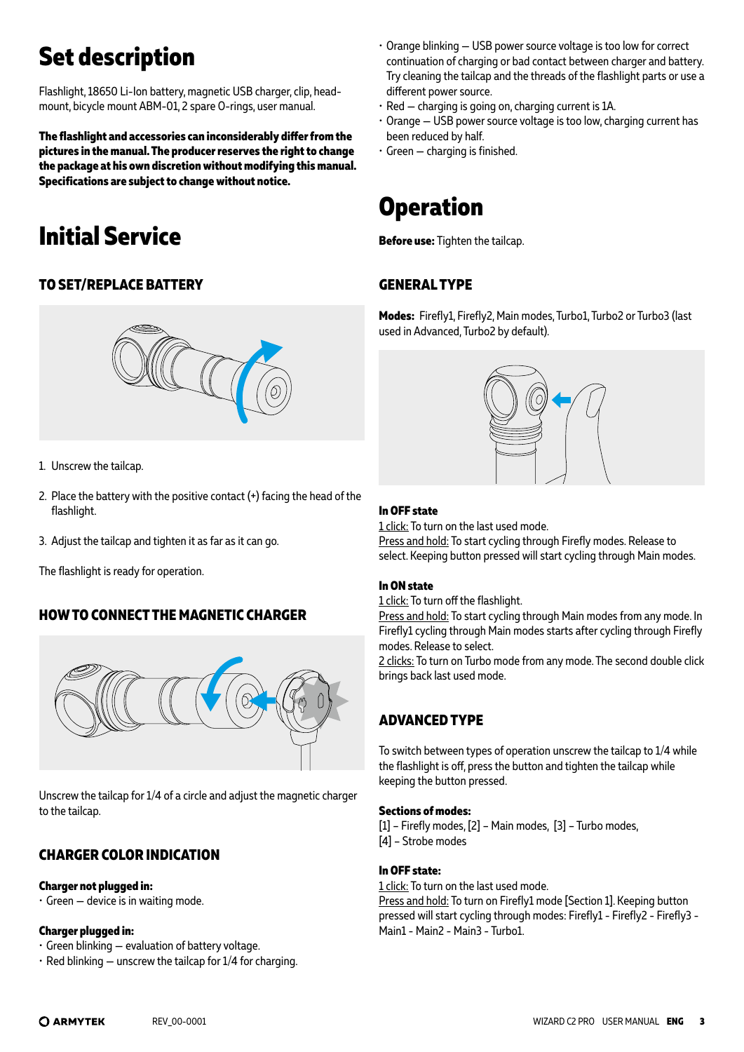## **Set description**

Flashlight, 18650 Li-Ion battery, magnetic USB charger, clip, headmount, bicycle mount ABM-01, 2 spare O-rings, user manual.

**The flashlight and accessories can inconsiderably differ from the pictures in the manual. The producer reserves the right to change the package at his own discretion without modifying this manual. Specifications are subject to change without notice.**

## **Initial Service**

### **TO SET/REPLACE BATTERY**



1. Unscrew the tailcap.

- 2. Place the battery with the positive contact (+) facing the head of the flashlight.
- 3. Adjust the tailcap and tighten it as far as it can go.

The flashlight is ready for operation.

### **HOW TO CONNECT THE MAGNETIC CHARGER**



Unscrew the tailcap for 1/4 of a circle and adjust the magnetic charger to the tailcap.

### **CHARGER COLOR INDICATION**

#### **Charger not plugged in:**

 $\cdot$  Green  $-$  device is in waiting mode.

#### **Charger plugged in:**

- Green blinking evaluation of battery voltage.
- $\cdot$  Red blinking unscrew the tailcap for 1/4 for charging.
- Orange blinking USB power source voltage is too low for correct continuation of charging or bad contact between charger and battery. Try cleaning the tailcap and the threads of the flashlight parts or use a different power source.
- Red charging is going on, charging current is 1A.
- Orange USB power source voltage is too low, charging current has been reduced by half.
- Green charging is finished.

### **Operation**

**Before use:** Tighten the tailcap.

### **GENERAL TYPE**

**Modes:** Firefly1, Firefly2, Main modes, Turbo1, Turbo2 or Turbo3 (last used in Advanced, Turbo2 by default).



#### **In OFF state**

1 click: To turn on the last used mode.

Press and hold: To start cycling through Firefly modes. Release to select. Keeping button pressed will start cycling through Main modes.

#### **In ON state**

1 click: To turn off the flashlight.

Press and hold: To start cycling through Main modes from any mode. In Firefly1 cycling through Main modes starts after cycling through Firefly modes. Release to select.

2 clicks: To turn on Turbo mode from any mode. The second double click brings back last used mode.

### **ADVANCED TYPE**

To switch between types of operation unscrew the tailcap to 1/4 while the flashlight is off, press the button and tighten the tailcap while keeping the button pressed.

#### **Sections of modes:**

[1] – Firefly modes, [2] – Main modes, [3] – Turbo modes, [4] – Strobe modes

#### **In OFF state:**

1 click: To turn on the last used mode. Press and hold: To turn on Firefly1 mode [Section 1]. Keeping button pressed will start cycling through modes: Firefly1 - Firefly2 - Firefly3 - Main1 - Main2 - Main3 - Turbo1.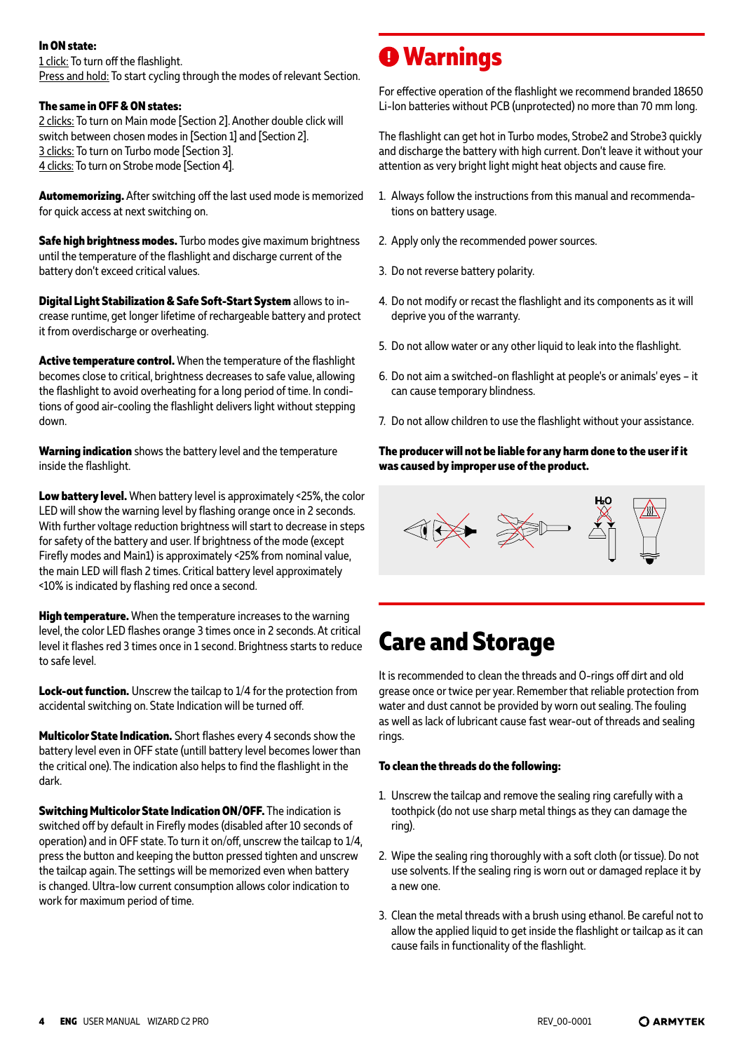#### **In ON state:**

1 click: To turn off the flashlight. Press and hold: To start cycling through the modes of relevant Section.

#### **The same in OFF & ON states:**

2 clicks: To turn on Main mode [Section 2]. Another double click will switch between chosen modes in [Section 1] and [Section 2]. 3 clicks: To turn on Turbo mode [Section 3]. 4 clicks: To turn on Strobe mode [Section 4].

**Automemorizing.** After switching off the last used mode is memorized for quick access at next switching on.

**Safe high brightness modes.** Turbo modes give maximum brightness until the temperature of the flashlight and discharge current of the battery don't exceed critical values.

**Digital Light Stabilization & Safe Soft-Start System** allows to increase runtime, get longer lifetime of rechargeable battery and protect it from overdischarge or overheating.

**Active temperature control.** When the temperature of the flashlight becomes close to critical, brightness decreases to safe value, allowing the flashlight to avoid overheating for a long period of time. In conditions of good air-cooling the flashlight delivers light without stepping down.

**Warning indication** shows the battery level and the temperature inside the flashlight.

**Low battery level.** When battery level is approximately <25%, the color LED will show the warning level by flashing orange once in 2 seconds. With further voltage reduction brightness will start to decrease in steps for safety of the battery and user. If brightness of the mode (except Firefly modes and Main1) is approximately <25% from nominal value, the main LED will flash 2 times. Critical battery level approximately <10% is indicated by flashing red once a second.

**High temperature.** When the temperature increases to the warning level, the color LED flashes orange 3 times once in 2 seconds. At critical level it flashes red 3 times once in 1 second. Brightness starts to reduce to safe level.

**Lock-out function.** Unscrew the tailcap to 1/4 for the protection from accidental switching on. State Indication will be turned off.

**Multicolor State Indication.** Short flashes every 4 seconds show the battery level even in OFF state (untill battery level becomes lower than the critical one). The indication also helps to find the flashlight in the dark.

**Switching Multicolor State Indication ON/OFF.** The indication is switched off by default in Firefly modes (disabled after 10 seconds of operation) and in OFF state. To turn it on/off, unscrew the tailcap to 1/4, press the button and keeping the button pressed tighten and unscrew the tailcap again. The settings will be memorized even when battery is changed. Ultra-low current consumption allows color indication to work for maximum period of time.

### **Warnings**

For effective operation of the flashlight we recommend branded 18650 Li-Ion batteries without PCB (unprotected) no more than 70 mm long.

The flashlight can get hot in Turbo modes, Strobe2 and Strobe3 quickly and discharge the battery with high current. Don't leave it without your attention as very bright light might heat objects and cause fire.

- 1. Always follow the instructions from this manual and recommendations on battery usage.
- 2. Apply only the recommended power sources.
- 3. Do not reverse battery polarity.
- 4. Do not modify or recast the flashlight and its components as it will deprive you of the warranty.
- 5. Do not allow water or any other liquid to leak into the flashlight.
- 6. Do not aim a switched-on flashlight at people's or animals' eyes it can cause temporary blindness.
- 7. Do not allow children to use the flashlight without your assistance.

#### **The producer will not be liable for any harm done to the user if it was caused by improper use of the product.**



## **Care and Storage**

It is recommended to clean the threads and O-rings off dirt and old grease once or twice per year. Remember that reliable protection from water and dust cannot be provided by worn out sealing. The fouling as well as lack of lubricant cause fast wear-out of threads and sealing rings.

#### **To clean the threads do the following:**

- 1. Unscrew the tailcap and remove the sealing ring carefully with a toothpick (do not use sharp metal things as they can damage the ring).
- 2. Wipe the sealing ring thoroughly with a soft cloth (or tissue). Do not use solvents. If the sealing ring is worn out or damaged replace it by a new one.
- 3. Clean the metal threads with a brush using ethanol. Be careful not to allow the applied liquid to get inside the flashlight or tailcap as it can cause fails in functionality of the flashlight.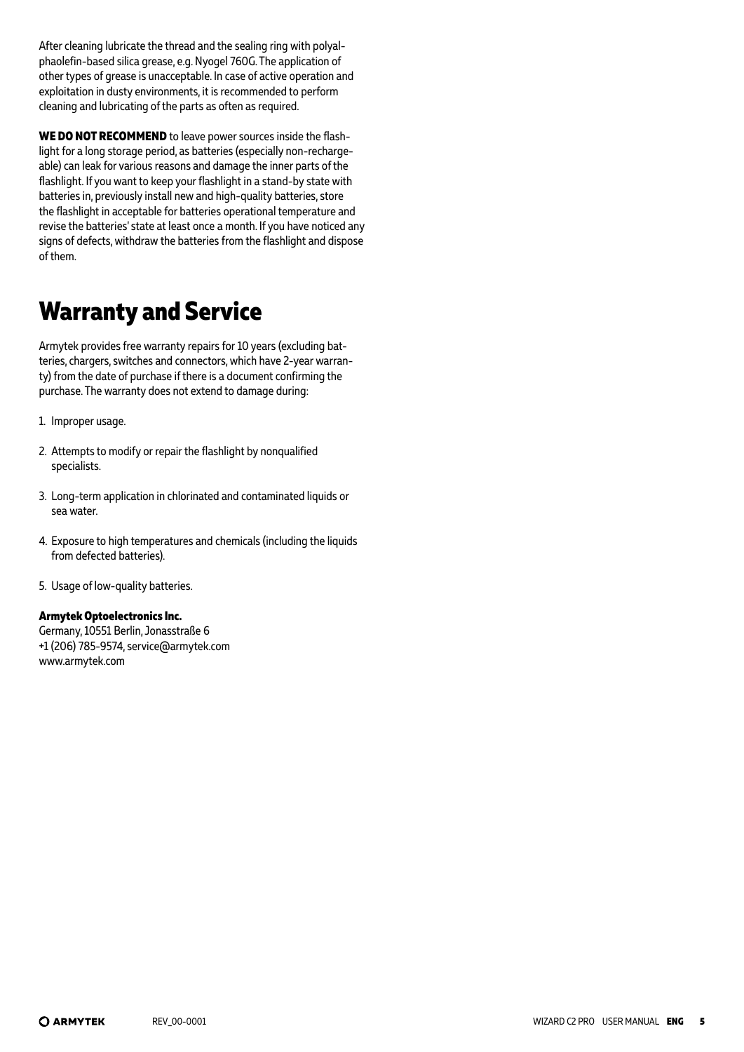After cleaning lubricate the thread and the sealing ring with polyalphaolefin-based silica grease, e.g. Nyogel 760G. The application of other types of grease is unacceptable. In case of active operation and exploitation in dusty environments, it is recommended to perform cleaning and lubricating of the parts as often as required.

**WE DO NOT RECOMMEND** to leave power sources inside the flashlight for a long storage period, as batteries (especially non-rechargeable) can leak for various reasons and damage the inner parts of the flashlight. If you want to keep your flashlight in a stand-by state with batteries in, previously install new and high-quality batteries, store the flashlight in acceptable for batteries operational temperature and revise the batteries' state at least once a month. If you have noticed any signs of defects, withdraw the batteries from the flashlight and dispose of them.

## **Warranty and Service**

Armytek provides free warranty repairs for 10 years (excluding batteries, chargers, switches and connectors, which have 2-year warranty) from the date of purchase if there is a document confirming the purchase. The warranty does not extend to damage during:

- 1. Improper usage.
- 2. Attempts to modify or repair the flashlight by nonqualified specialists.
- 3. Long-term application in chlorinated and contaminated liquids or sea water.
- 4. Exposure to high temperatures and chemicals (including the liquids from defected batteries).
- 5. Usage of low-quality batteries.

#### **Armytek Optoelectronics Inc.**

Germany, 10551 Berlin, Jonasstraße 6 +1 (206) 785-9574, service@armytek.com www.armytek.com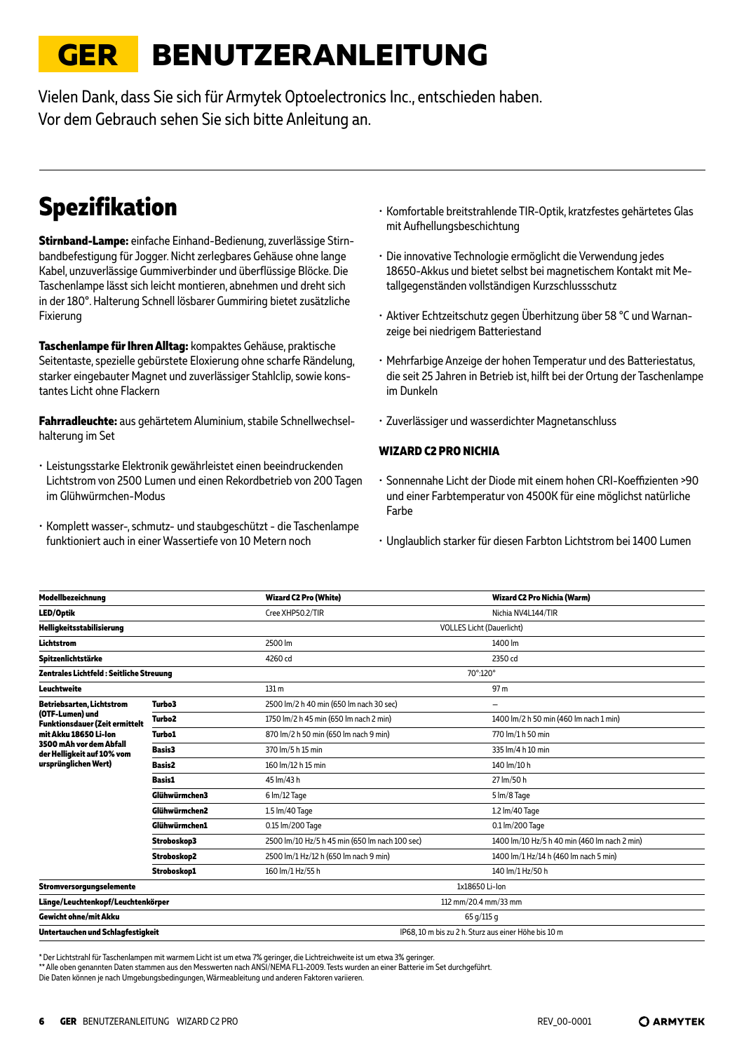# <span id="page-5-0"></span>**GER BENUTZERANLEITUNG**

Vielen Dank, dass Sie sich für Armytek Optoelectronics Inc., entschieden haben. Vor dem Gebrauch sehen Sie sich bitte Anleitung an.

## **Spezifikation**

**Stirnband-Lampe:** einfache Einhand-Bedienung, zuverlässige Stirnbandbefestigung für Jogger. Nicht zerlegbares Gehäuse ohne lange Kabel, unzuverlässige Gummiverbinder und überflüssige Blöcke. Die Taschenlampe lässt sich leicht montieren, abnehmen und dreht sich in der 180°. Halterung Schnell lösbarer Gummiring bietet zusätzliche Fixierung

**Taschenlampe für Ihren Alltag:** kompaktes Gehäuse, praktische Seitentaste, spezielle gebürstete Eloxierung ohne scharfe Rändelung, starker eingebauter Magnet und zuverlässiger Stahlclip, sowie konstantes Licht ohne Flackern

**Fahrradleuchte:** aus gehärtetem Aluminium, stabile Schnellwechselhalterung im Set

- Leistungsstarke Elektronik gewährleistet einen beeindruckenden Lichtstrom von 2500 Lumen und einen Rekordbetrieb von 200 Tagen im Glühwürmchen-Modus
- Komplett wasser-, schmutz- und staubgeschützt die Taschenlampe funktioniert auch in einer Wassertiefe von 10 Metern noch
- Komfortable breitstrahlende TIR-Optik, kratzfestes gehärtetes Glas mit Aufhellungsbeschichtung
- Die innovative Technologie ermöglicht die Verwendung jedes 18650-Akkus und bietet selbst bei magnetischem Kontakt mit Metallgegenständen vollständigen Kurzschlussschutz
- Aktiver Echtzeitschutz gegen Überhitzung über 58 °C und Warnanzeige bei niedrigem Batteriestand
- Mehrfarbige Anzeige der hohen Temperatur und des Batteriestatus, die seit 25 Jahren in Betrieb ist, hilft bei der Ortung der Taschenlampe im Dunkeln
- Zuverlässiger und wasserdichter Magnetanschluss

#### **WIZARD C2 PRO NICHIA**

- Sonnennahe Licht der Diode mit einem hohen CRI-Koeffizienten >90 und einer Farbtemperatur von 4500K für eine möglichst natürliche Farbe
- Unglaublich starker für diesen Farbton Lichtstrom bei 1400 Lumen

| Modellbezeichnung                                        |                    | <b>Wizard C2 Pro (White)</b>                        | Wizard C2 Pro Nichia (Warm)                  |  |
|----------------------------------------------------------|--------------------|-----------------------------------------------------|----------------------------------------------|--|
| LED/Optik                                                |                    | Cree XHP50.2/TIR                                    | Nichia NV4L144/TIR                           |  |
| Helligkeitsstabilisierung                                |                    |                                                     | <b>VOLLES Licht (Dauerlicht)</b>             |  |
| <b>Lichtstrom</b>                                        |                    | 2500 lm                                             | 1400 lm                                      |  |
| Spitzenlichtstärke                                       |                    | 4260 cd                                             | 2350 cd                                      |  |
| Zentrales Lichtfeld: Seitliche Streuung                  |                    |                                                     | 70°:120°                                     |  |
| Leuchtweite                                              |                    | 131 <sub>m</sub>                                    | 97 <sub>m</sub>                              |  |
| <b>Betriebsarten, Lichtstrom</b>                         | Turbo3             | 2500 lm/2 h 40 min (650 lm nach 30 sec)             | $\overline{\phantom{a}}$                     |  |
| (OTF-Lumen) und<br><b>Funktionsdauer (Zeit ermittelt</b> | Turbo <sub>2</sub> | 1750 lm/2 h 45 min (650 lm nach 2 min)              | 1400 lm/2 h 50 min (460 lm nach 1 min)       |  |
| mit Akku 18650 Li-lon                                    | <b>Turbo1</b>      | 870 lm/2 h 50 min (650 lm nach 9 min)               | 770 lm/1 h 50 min                            |  |
| 3500 mAh vor dem Abfall<br>der Helligkeit auf 10% vom    | <b>Basis3</b>      | 370 lm/5 h 15 min                                   | 335 lm/4 h 10 min                            |  |
| ursprünglichen Wert)                                     | <b>Basis2</b>      | 160 lm/12 h 15 min                                  | 140 lm/10 h                                  |  |
|                                                          | <b>Basis1</b>      | 45 lm/43 h                                          | 27 lm/50 h                                   |  |
|                                                          | Glühwürmchen3      | 6 lm/12 Tage                                        | 5 lm/8 Tage                                  |  |
|                                                          | Glühwürmchen2      | 1.5 lm/40 Tage                                      | 1.2 lm/40 Tage                               |  |
|                                                          | Glühwürmchen1      | 0.15 lm/200 Tage                                    | 0.1 lm/200 Tage                              |  |
|                                                          | Stroboskop3        | 2500 lm/10 Hz/5 h 45 min (650 lm nach 100 sec)      | 1400 lm/10 Hz/5 h 40 min (460 lm nach 2 min) |  |
|                                                          | Stroboskop2        | 2500 lm/1 Hz/12 h (650 lm nach 9 min)               | 1400 lm/1 Hz/14 h (460 lm nach 5 min)        |  |
|                                                          | Stroboskop1        | 160 lm/1 Hz/55 h                                    | 140 lm/1 Hz/50 h                             |  |
| Stromversorgungselemente                                 |                    | 1x18650 Li-lon                                      |                                              |  |
| Länge/Leuchtenkopf/Leuchtenkörper                        |                    | 112 mm/20.4 mm/33 mm                                |                                              |  |
| <b>Gewicht ohne/mit Akku</b>                             |                    |                                                     | 65 g/115 g                                   |  |
| Untertauchen und Schlagfestigkeit                        |                    | IP68.10 m bis zu 2 h. Sturz aus einer Höhe bis 10 m |                                              |  |

\* Der Lichtstrahl für Taschenlampen mit warmem Licht ist um etwa 7% geringer, die Lichtreichweite ist um etwa 3% geringer.

\*\* Alle oben genannten Daten stammen aus den Messwerten nach ANSI/NEMA FL1-2009. Tests wurden an einer Batterie im Set durchgeführt. Die Daten können je nach Umgebungsbedingungen, Wärmeableitung und anderen Faktoren variieren.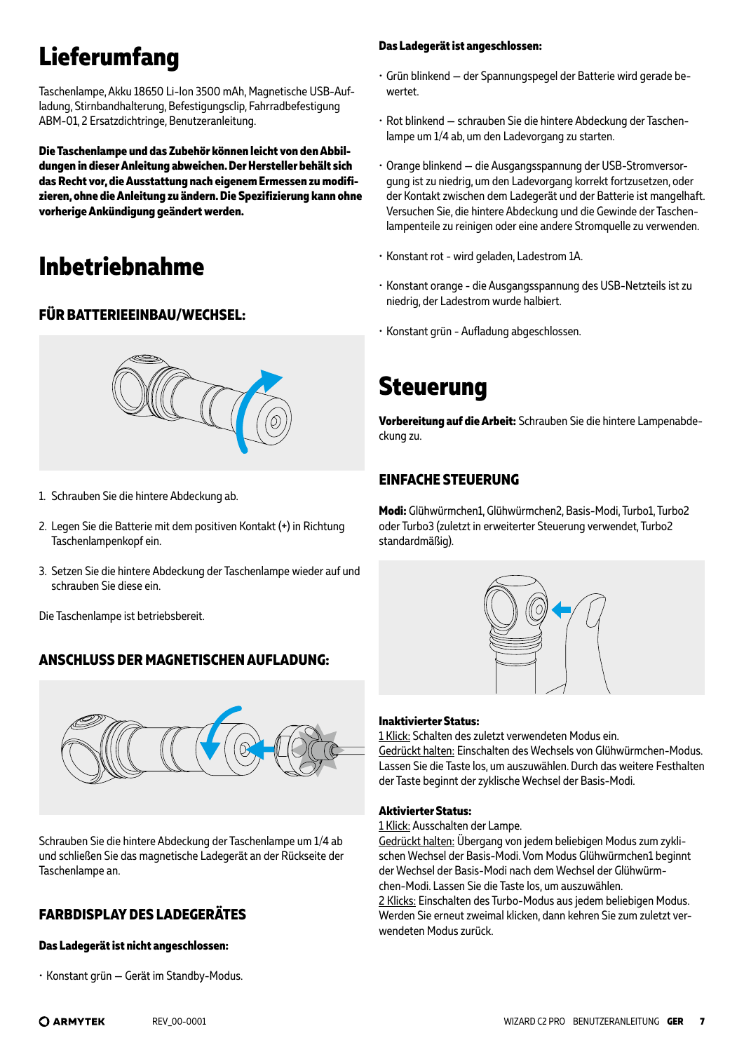## **Lieferumfang**

Taschenlampe, Akku 18650 Li-Ion 3500 mAh, Magnetische USB-Aufladung, Stirnbandhalterung, Befestigungsclip, Fahrradbefestigung ABM-01, 2 Ersatzdichtringe, Benutzeranleitung.

**Die Taschenlampe und das Zubehör können leicht von den Abbildungen in dieser Anleitung abweichen. Der Hersteller behält sich das Recht vor, die Ausstattung nach eigenem Ermessen zu modifizieren, ohne die Anleitung zu ändern. Die Spezifizierung kann ohne vorherige Ankündigung geändert werden.**

## **Inbetriebnahme**

### **FÜR BATTERIEEINBAU/WECHSEL:**



- 1. Schrauben Sie die hintere Abdeckung ab.
- 2. Legen Sie die Batterie mit dem positiven Kontakt (+) in Richtung Taschenlampenkopf ein.
- 3. Setzen Sie die hintere Abdeckung der Taschenlampe wieder auf und schrauben Sie diese ein.

Die Taschenlampe ist betriebsbereit.

### **ANSCHLUSS DER MAGNETISCHEN AUFLADUNG:**



Schrauben Sie die hintere Abdeckung der Taschenlampe um 1/4 ab und schließen Sie das magnetische Ladegerät an der Rückseite der Taschenlampe an.

### **FARBDISPLAY DES LADEGERÄTES**

#### **Das Ladegerät ist nicht angeschlossen:**

• Konstant grün — Gerät im Standby-Modus.

#### **Das Ladegerät ist angeschlossen:**

- Grün blinkend der Spannungspegel der Batterie wird gerade bewertet.
- Rot blinkend schrauben Sie die hintere Abdeckung der Taschenlampe um 1/4 ab, um den Ladevorgang zu starten.
- Orange blinkend die Ausgangsspannung der USB-Stromversorgung ist zu niedrig, um den Ladevorgang korrekt fortzusetzen, oder der Kontakt zwischen dem Ladegerät und der Batterie ist mangelhaft. Versuchen Sie, die hintere Abdeckung und die Gewinde der Taschenlampenteile zu reinigen oder eine andere Stromquelle zu verwenden.
- Konstant rot wird geladen, Ladestrom 1A.
- Konstant orange die Ausgangsspannung des USB-Netzteils ist zu niedrig, der Ladestrom wurde halbiert.
- Konstant grün Aufladung abgeschlossen.

## **Steuerung**

**Vorbereitung auf die Arbeit:** Schrauben Sie die hintere Lampenabdeckung zu.

### **EINFACHE STEUERUNG**

**Modi:** Glühwürmchen1, Glühwürmchen2, Basis-Modi, Turbo1, Turbo2 oder Turbo3 (zuletzt in erweiterter Steuerung verwendet, Turbo2 standardmäßig).



#### **Inaktivierter Status:**

1 Klick: Schalten des zuletzt verwendeten Modus ein.

Gedrückt halten: Einschalten des Wechsels von Glühwürmchen-Modus. Lassen Sie die Taste los, um auszuwählen. Durch das weitere Festhalten der Taste beginnt der zyklische Wechsel der Basis-Modi.

#### **Aktivierter Status:**

1 Klick: Ausschalten der Lampe.

Gedrückt halten: Übergang von jedem beliebigen Modus zum zyklischen Wechsel der Basis-Modi. Vom Modus Glühwürmchen1 beginnt der Wechsel der Basis-Modi nach dem Wechsel der Glühwürmchen-Modi. Lassen Sie die Taste los, um auszuwählen. 2 Klicks: Einschalten des Turbo-Modus aus jedem beliebigen Modus.

Werden Sie erneut zweimal klicken, dann kehren Sie zum zuletzt verwendeten Modus zurück.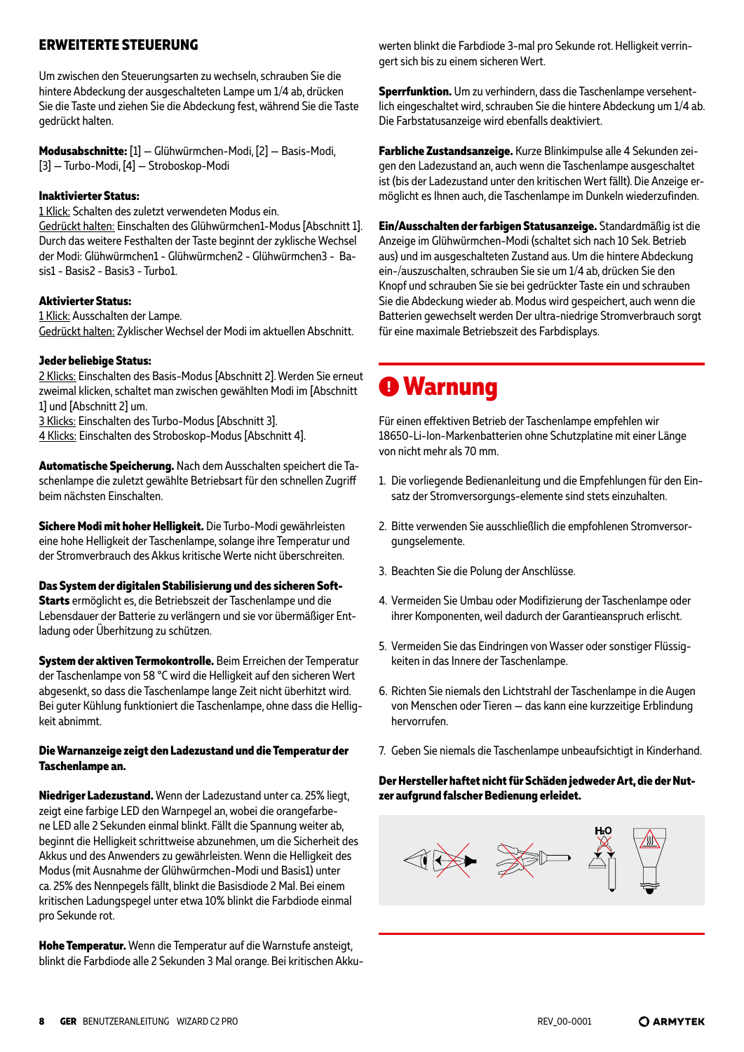### **ERWEITERTE STEUERUNG**

Um zwischen den Steuerungsarten zu wechseln, schrauben Sie die hintere Abdeckung der ausgeschalteten Lampe um 1/4 ab, drücken Sie die Taste und ziehen Sie die Abdeckung fest, während Sie die Taste gedrückt halten.

**Modusabschnitte:** [1] — Glühwürmchen-Modi, [2] — Basis-Modi, [3] — Turbo-Modi, [4] — Stroboskop-Modi

#### **Inaktivierter Status:**

1 Klick: Schalten des zuletzt verwendeten Modus ein. Gedrückt halten: Einschalten des Glühwürmchen1-Modus [Abschnitt 1]. Durch das weitere Festhalten der Taste beginnt der zyklische Wechsel der Modi: Glühwürmchen1 - Glühwürmchen2 - Glühwürmchen3 - Basis1 - Basis2 - Basis3 - Turbo1.

#### **Aktivierter Status:**

1 Klick: Ausschalten der Lampe. Gedrückt halten: Zyklischer Wechsel der Modi im aktuellen Abschnitt.

#### **Jeder beliebige Status:**

2 Klicks: Einschalten des Basis-Modus [Abschnitt 2]. Werden Sie erneut zweimal klicken, schaltet man zwischen gewählten Modi im [Abschnitt 1] und [Abschnitt 2] um.

3 Klicks: Einschalten des Turbo-Modus [Abschnitt 3].

4 Klicks: Einschalten des Stroboskop-Modus [Abschnitt 4].

**Automatische Speicherung.** Nach dem Ausschalten speichert die Taschenlampe die zuletzt gewählte Betriebsart für den schnellen Zugriff beim nächsten Einschalten.

**Sichere Modi mit hoher Helligkeit.** Die Turbo-Modi gewährleisten eine hohe Helligkeit der Taschenlampe, solange ihre Temperatur und der Stromverbrauch des Akkus kritische Werte nicht überschreiten.

#### **Das System der digitalen Stabilisierung und des sicheren Soft-**

**Starts** ermöglicht es, die Betriebszeit der Taschenlampe und die Lebensdauer der Batterie zu verlängern und sie vor übermäßiger Entladung oder Überhitzung zu schützen.

**System der aktiven Termokontrolle.** Beim Erreichen der Temperatur der Taschenlampe von 58 °C wird die Helligkeit auf den sicheren Wert abgesenkt, so dass die Taschenlampe lange Zeit nicht überhitzt wird. Bei guter Kühlung funktioniert die Taschenlampe, ohne dass die Helligkeit abnimmt.

#### **Die Warnanzeige zeigt den Ladezustand und die Temperatur der Taschenlampe an.**

**Niedriger Ladezustand.** Wenn der Ladezustand unter ca. 25% liegt, zeigt eine farbige LED den Warnpegel an, wobei die orangefarbene LED alle 2 Sekunden einmal blinkt. Fällt die Spannung weiter ab, beginnt die Helligkeit schrittweise abzunehmen, um die Sicherheit des Akkus und des Anwenders zu gewährleisten. Wenn die Helligkeit des Modus (mit Ausnahme der Glühwürmchen-Modi und Basis1) unter ca. 25% des Nennpegels fällt, blinkt die Basisdiode 2 Mal. Bei einem kritischen Ladungspegel unter etwa 10% blinkt die Farbdiode einmal pro Sekunde rot.

**Hohe Temperatur.** Wenn die Temperatur auf die Warnstufe ansteigt, blinkt die Farbdiode alle 2 Sekunden 3 Mal orange. Bei kritischen Akkuwerten blinkt die Farbdiode 3-mal pro Sekunde rot. Helligkeit verringert sich bis zu einem sicheren Wert.

**Sperrfunktion.** Um zu verhindern, dass die Taschenlampe versehentlich eingeschaltet wird, schrauben Sie die hintere Abdeckung um 1/4 ab. Die Farbstatusanzeige wird ebenfalls deaktiviert.

**Farbliche Zustandsanzeige.** Kurze Blinkimpulse alle 4 Sekunden zeigen den Ladezustand an, auch wenn die Taschenlampe ausgeschaltet ist (bis der Ladezustand unter den kritischen Wert fällt). Die Anzeige ermöglicht es Ihnen auch, die Taschenlampe im Dunkeln wiederzufinden.

**Ein/Ausschalten der farbigen Statusanzeige.** Standardmäßig ist die Anzeige im Glühwürmchen-Modi (schaltet sich nach 10 Sek. Betrieb aus) und im ausgeschalteten Zustand aus. Um die hintere Abdeckung ein-/auszuschalten, schrauben Sie sie um 1/4 ab, drücken Sie den Knopf und schrauben Sie sie bei gedrückter Taste ein und schrauben Sie die Abdeckung wieder ab. Modus wird gespeichert, auch wenn die Batterien gewechselt werden Der ultra-niedrige Stromverbrauch sorgt für eine maximale Betriebszeit des Farbdisplays.

### **Warnung**

Für einen effektiven Betrieb der Taschenlampe empfehlen wir 18650-Li-Ion-Markenbatterien ohne Schutzplatine mit einer Länge von nicht mehr als 70 mm.

- 1. Die vorliegende Bedienanleitung und die Empfehlungen für den Einsatz der Stromversorgungs-elemente sind stets einzuhalten.
- 2. Bitte verwenden Sie ausschließlich die empfohlenen Stromversorgungselemente.
- 3. Beachten Sie die Polung der Anschlüsse.
- 4. Vermeiden Sie Umbau oder Modifizierung der Taschenlampe oder ihrer Komponenten, weil dadurch der Garantieanspruch erlischt.
- 5. Vermeiden Sie das Eindringen von Wasser oder sonstiger Flüssigkeiten in das Innere der Taschenlampe.
- 6. Richten Sie niemals den Lichtstrahl der Taschenlampe in die Augen von Menschen oder Tieren — das kann eine kurzzeitige Erblindung hervorrufen.
- 7. Geben Sie niemals die Taschenlampe unbeaufsichtigt in Kinderhand.

#### **Der Hersteller haftet nicht für Schäden jedweder Art, die der Nutzer aufgrund falscher Bedienung erleidet.**

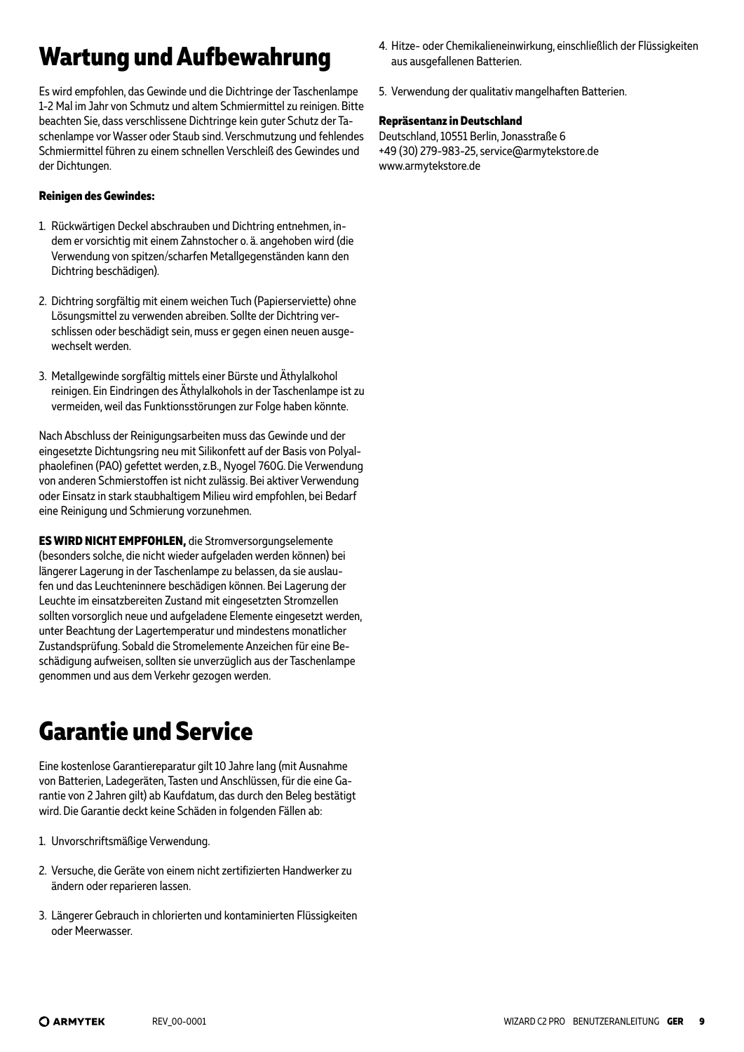## **Wartung und Aufbewahrung**

Es wird empfohlen, das Gewinde und die Dichtringe der Taschenlampe 1-2 Mal im Jahr von Schmutz und altem Schmiermittel zu reinigen. Bitte beachten Sie, dass verschlissene Dichtringe kein guter Schutz der Taschenlampe vor Wasser oder Staub sind. Verschmutzung und fehlendes Schmiermittel führen zu einem schnellen Verschleiß des Gewindes und der Dichtungen.

#### **Reinigen des Gewindes:**

- 1. Rückwärtigen Deckel abschrauben und Dichtring entnehmen, indem er vorsichtig mit einem Zahnstocher o. ä. angehoben wird (die Verwendung von spitzen/scharfen Metallgegenständen kann den Dichtring beschädigen).
- 2. Dichtring sorgfältig mit einem weichen Tuch (Papierserviette) ohne Lösungsmittel zu verwenden abreiben. Sollte der Dichtring verschlissen oder beschädigt sein, muss er gegen einen neuen ausgewechselt werden.
- 3. Metallgewinde sorgfältig mittels einer Bürste und Äthylalkohol reinigen. Ein Eindringen des Äthylalkohols in der Taschenlampe ist zu vermeiden, weil das Funktionsstörungen zur Folge haben könnte.

Nach Abschluss der Reinigungsarbeiten muss das Gewinde und der eingesetzte Dichtungsring neu mit Silikonfett auf der Basis von Polyalphaolefinen (PAO) gefettet werden, z.B., Nyogel 760G. Die Verwendung von anderen Schmierstoffen ist nicht zulässig. Bei aktiver Verwendung oder Einsatz in stark staubhaltigem Milieu wird empfohlen, bei Bedarf eine Reinigung und Schmierung vorzunehmen.

**ES WIRD NICHT EMPFOHLEN,** die Stromversorgungselemente (besonders solche, die nicht wieder aufgeladen werden können) bei längerer Lagerung in der Taschenlampe zu belassen, da sie auslaufen und das Leuchteninnere beschädigen können. Bei Lagerung der Leuchte im einsatzbereiten Zustand mit eingesetzten Stromzellen sollten vorsorglich neue und aufgeladene Elemente eingesetzt werden, unter Beachtung der Lagertemperatur und mindestens monatlicher Zustandsprüfung. Sobald die Stromelemente Anzeichen für eine Beschädigung aufweisen, sollten sie unverzüglich aus der Taschenlampe genommen und aus dem Verkehr gezogen werden.

### **Garantie und Service**

Eine kostenlose Garantiereparatur gilt 10 Jahre lang (mit Ausnahme von Batterien, Ladegeräten, Tasten und Anschlüssen, für die eine Garantie von 2 Jahren gilt) ab Kaufdatum, das durch den Beleg bestätigt wird. Die Garantie deckt keine Schäden in folgenden Fällen ab:

- 1. Unvorschriftsmäßige Verwendung.
- 2. Versuche, die Geräte von einem nicht zertifizierten Handwerker zu ändern oder reparieren lassen.
- 3. Längerer Gebrauch in chlorierten und kontaminierten Flüssigkeiten oder Meerwasser.
- 4. Hitze- oder Chemikalieneinwirkung, einschließlich der Flüssigkeiten aus ausgefallenen Batterien.
- 5. Verwendung der qualitativ mangelhaften Batterien.

### **Repräsentanz in Deutschland**

Deutschland, 10551 Berlin, Jonasstraße 6 +49 (30) 279-983-25, service@armytekstore.de www.armytekstore.de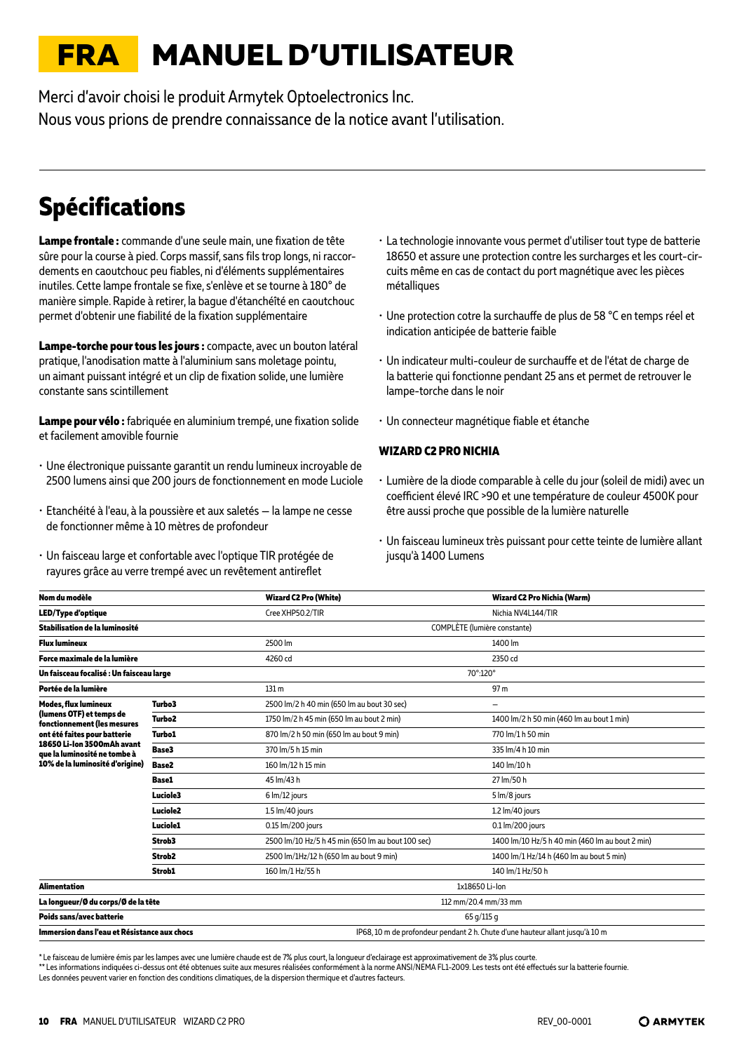# <span id="page-9-0"></span>**FRA MANUEL D'UTILISATEUR**

Merci d'avoir choisi le produit Armytek Optoelectronics Inc. Nous vous prions de prendre connaissance de la notice avant l'utilisation.

## **Spécifications**

**Lampe frontale :** commande d'une seule main, une fixation de tête sûre pour la course à pied. Corps massif, sans fils trop longs, ni raccordements en caoutchouc peu fiables, ni d'éléments supplémentaires inutiles. Cette lampe frontale se fixe, s'enlève et se tourne à 180° de manière simple. Rapide à retirer, la bague d'étanchéîté en caoutchouc permet d'obtenir une fiabilité de la fixation supplémentaire

**Lampe-torche pour tous les jours :** compacte, avec un bouton latéral pratique, l'anodisation matte à l'aluminium sans moletage pointu, un aimant puissant intégré et un clip de fixation solide, une lumière constante sans scintillement

**Lampe pour vélo :** fabriquée en aluminium trempé, une fixation solide et facilement amovible fournie

- Une électronique puissante garantit un rendu lumineux incroyable de 2500 lumens ainsi que 200 jours de fonctionnement en mode Luciole
- Etanchéité à l'eau, à la poussière et aux saletés la lampe ne cesse de fonctionner même à 10 mètres de profondeur
- Un faisceau large et confortable avec l'optique TIR protégée de rayures grâce au verre trempé avec un revêtement antireflet
- La technologie innovante vous permet d'utiliser tout type de batterie 18650 et assure une protection contre les surcharges et les court-circuits même en cas de contact du port magnétique avec les pièces métalliques
- Une protection cotre la surchauffe de plus de 58 °C en temps réel et indication anticipée de batterie faible
- Un indicateur multi-couleur de surchauffe et de l'état de charge de la batterie qui fonctionne pendant 25 ans et permet de retrouver le lampe-torche dans le noir
- Un connecteur magnétique fiable et étanche

#### **WIZARD C2 PRO NICHIA**

- Lumière de la diode comparable à celle du jour (soleil de midi) avec un coefficient élevé IRC >90 et une température de couleur 4500K pour être aussi proche que possible de la lumière naturelle
- Un faisceau lumineux très puissant pour cette teinte de lumière allant jusqu'à 1400 Lumens

| Nom du modèle                                              |                      | <b>Wizard C2 Pro (White)</b>                      | Wizard C2 Pro Nichia (Warm)                                                   |  |
|------------------------------------------------------------|----------------------|---------------------------------------------------|-------------------------------------------------------------------------------|--|
| <b>LED/Type d'optique</b>                                  |                      | Cree XHP50.2/TIR                                  | Nichia NV4L144/TIR                                                            |  |
| Stabilisation de la luminosité                             |                      |                                                   | COMPLÈTE (lumière constante)                                                  |  |
| <b>Flux lumineux</b>                                       |                      | 2500 lm                                           | 1400 lm                                                                       |  |
| Force maximale de la lumière                               |                      | 4260 cd                                           | 2350 cd                                                                       |  |
| Un faisceau focalisé : Un faisceau large                   |                      |                                                   | 70°:120°                                                                      |  |
| Portée de la lumière                                       |                      | 131 <sub>m</sub>                                  | 97 <sub>m</sub>                                                               |  |
| Modes, flux lumineux                                       | Turbo3               | 2500 lm/2 h 40 min (650 lm au bout 30 sec)        | -                                                                             |  |
| (lumens OTF) et temps de<br>fonctionnement (les mesures    | Turbo <sub>2</sub>   | 1750 lm/2 h 45 min (650 lm au bout 2 min)         | 1400 lm/2 h 50 min (460 lm au bout 1 min)                                     |  |
| ont été faites pour batterie                               | <b>Turbo1</b>        | 870 lm/2 h 50 min (650 lm au bout 9 min)          | 770 lm/1 h 50 min                                                             |  |
| 18650 Li-Ion 3500mAh avant<br>que la luminosité ne tombe à | <b>Base3</b>         | 370 lm/5 h 15 min                                 | 335 lm/4 h 10 min                                                             |  |
| 10% de la luminosité d'origine)                            | Base2                | 160 lm/12 h 15 min                                | 140 lm/10 h                                                                   |  |
|                                                            | <b>Base1</b>         | 45 lm/43 h                                        | 27 lm/50 h                                                                    |  |
|                                                            | Luciole3             | 6 lm/12 jours                                     | 5 lm/8 jours                                                                  |  |
|                                                            | Luciole <sub>2</sub> | 1.5 lm/40 jours                                   | 1.2 lm/40 jours                                                               |  |
|                                                            | Luciole1             | 0.15 lm/200 jours                                 | 0.1 lm/200 jours                                                              |  |
|                                                            | Strob3               | 2500 lm/10 Hz/5 h 45 min (650 lm au bout 100 sec) | 1400 lm/10 Hz/5 h 40 min (460 lm au bout 2 min)                               |  |
|                                                            | Strob <sub>2</sub>   | 2500 lm/1Hz/12 h (650 lm au bout 9 min)           | 1400 lm/1 Hz/14 h (460 lm au bout 5 min)                                      |  |
|                                                            | Strob1               | 160 lm/1 Hz/55 h                                  | 140 lm/1 Hz/50 h                                                              |  |
| <b>Alimentation</b>                                        |                      |                                                   | 1x18650 Li-lon                                                                |  |
| La longueur/Ø du corps/Ø de la tête                        |                      |                                                   | 112 mm/20.4 mm/33 mm                                                          |  |
| Poids sans/avec batterie                                   |                      |                                                   | 65 g/115 g                                                                    |  |
| Immersion dans l'eau et Résistance aux chocs               |                      |                                                   | IP68, 10 m de profondeur pendant 2 h. Chute d'une hauteur allant jusqu'à 10 m |  |

\* Le faisceau de lumière émis par les lampes avec une lumière chaude est de 7% plus court, la longueur d'eclairage est approximativement de 3% plus courte.

\*\* Les informations indiquées ci-dessus ont été obtenues suite aux mesures réalisées conformément à la norme ANSI/NEMA FL1-2009. Les tests ont été effectués sur la batterie fournie. Les données peuvent varier en fonction des conditions climatiques, de la dispersion thermique et d'autres facteurs.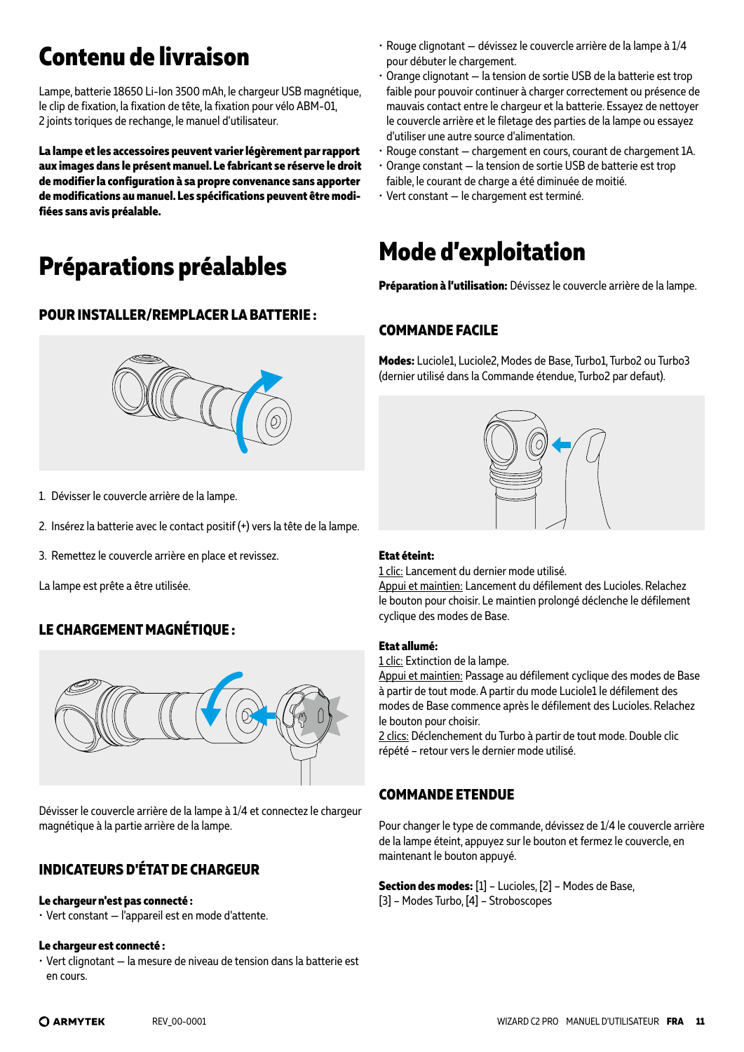## **Contenu de livraison**

Lampe, batterie 18650 Li-Ion 3500 mAh, le chargeur USB magnétique, le clip de fixation, la fixation de tête, la fixation pour vélo ABM-01, 2 joints toriques de rechange, le manuel d'utilisateur.

**La lampe et les accessoires peuvent varier légèrement par rapport aux images dans le présent manuel. Le fabricant se réserve le droit de modifier la configuration à sa propre convenance sans apporter de modifications au manuel. Les spécifications peuvent être modifiées sans avis préalable.**

## **Préparations préalables**

### **POUR INSTALLER/REMPLACER LA BATTERIE :**



- 1. Dévisser le couvercle arrière de la lampe.
- 2. Insérez la batterie avec le contact positif (+) vers la tête de la lampe.
- 3. Remettez le couvercle arrière en place et revissez.

La lampe est prête a être utilisée.

### **LE CHARGEMENT MAGNÉTIQUE :**



Dévisser le couvercle arrière de la lampe à 1/4 et connectez le chargeur magnétique à la partie arrière de la lampe.

### **INDICATEURS D'ÉTAT DE CHARGEUR**

#### **Le chargeur n'est pas connecté :**

• Vert constant — l'appareil est en mode d'attente.

#### **Le chargeur est connecté :**

• Vert clignotant — la mesure de niveau de tension dans la batterie est en cours.

- Rouge clignotant dévissez le couvercle arrière de la lampe à 1/4 pour débuter le chargement.
- Orange clignotant la tension de sortie USB de la batterie est trop faible pour pouvoir continuer à charger correctement ou présence de mauvais contact entre le chargeur et la batterie. Essayez de nettoyer le couvercle arrière et le filetage des parties de la lampe ou essayez d'utiliser une autre source d'alimentation.
- Rouge constant chargement en cours, courant de chargement 1A.
- Orange constant la tension de sortie USB de batterie est trop faible, le courant de charge a été diminuée de moitié.
- Vert constant le chargement est terminé.

### **Mode d'exploitation**

**Préparation à l'utilisation:** Dévissez le couvercle arrière de la lampe.

### **COMMANDE FACILE**

**Modes:** Luciole1, Luciole2, Modes de Base, Turbo1, Turbo2 ou Turbo3 (dernier utilisé dans la Commande étendue, Turbo2 par defaut).



#### **Etat éteint:**

1 clic: Lancement du dernier mode utilisé.

Appui et maintien: Lancement du défilement des Lucioles. Relachez le bouton pour choisir. Le maintien prolongé déclenche le défilement cyclique des modes de Base.

#### **Etat allumé:**

1 clic: Extinction de la lampe.

Appui et maintien: Passage au défilement cyclique des modes de Base à partir de tout mode. A partir du mode Luciole1 le défilement des modes de Base commence après le défilement des Lucioles. Relachez le bouton pour choisir.

2 clics: Déclenchement du Turbo à partir de tout mode. Double clic répété – retour vers le dernier mode utilisé.

### **COMMANDE ETENDUE**

Pour changer le type de commande, dévissez de 1/4 le couvercle arrière de la lampe éteint, appuyez sur le bouton et fermez le couvercle, en maintenant le bouton appuyé.

**Section des modes:** [1] – Lucioles, [2] – Modes de Base, [3] – Modes Turbo, [4] – Stroboscopes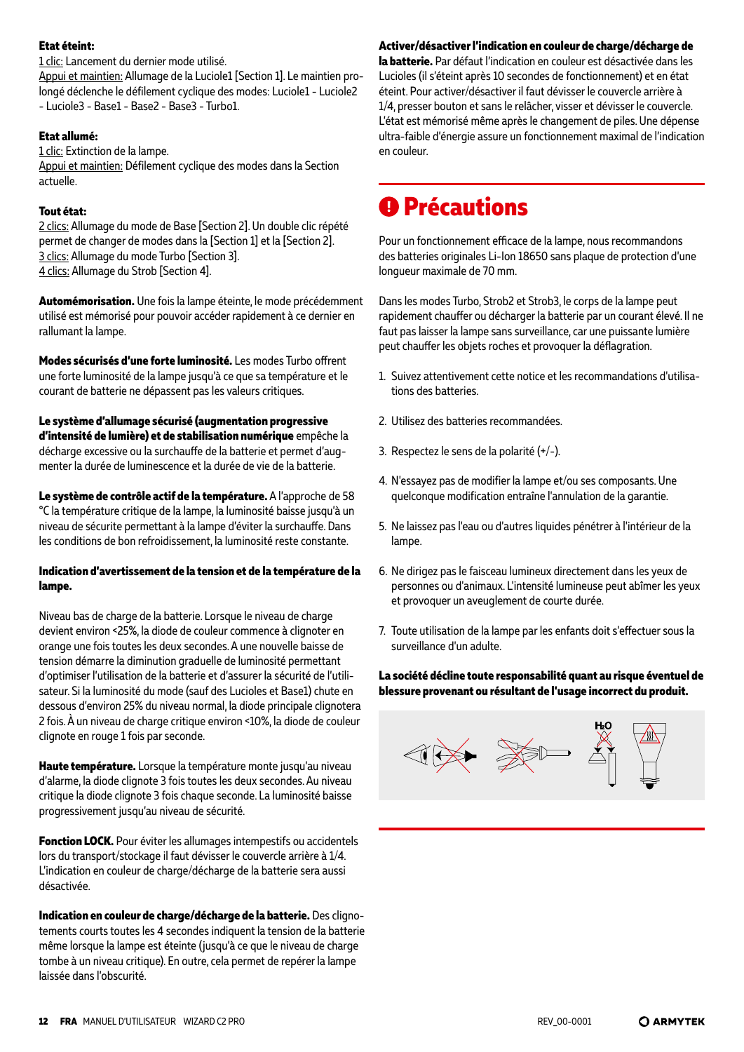#### **Etat éteint:**

1 clic: Lancement du dernier mode utilisé.

Appui et maintien: Allumage de la Luciole1 [Section 1]. Le maintien prolongé déclenche le défilement cyclique des modes: Luciole1 - Luciole2 - Luciole3 - Base1 - Base2 - Base3 - Turbo1.

#### **Etat allumé:**

1 clic: Extinction de la lampe.

Appui et maintien: Défilement cyclique des modes dans la Section actuelle.

#### **Tout état:**

2 clics: Allumage du mode de Base [Section 2]. Un double clic répété permet de changer de modes dans la [Section 1] et la [Section 2]. 3 clics: Allumage du mode Turbo [Section 3]. 4 clics: Allumage du Strob [Section 4].

**Automémorisation.** Une fois la lampe éteinte, le mode précédemment utilisé est mémorisé pour pouvoir accéder rapidement à ce dernier en rallumant la lampe.

**Modes sécurisés d'une forte luminosité.** Les modes Turbo offrent une forte luminosité de la lampe jusqu'à ce que sa température et le courant de batterie ne dépassent pas les valeurs critiques.

**Le système d'allumage sécurisé (augmentation progressive d'intensité de lumière) et de stabilisation numérique** empêche la décharge excessive ou la surchauffe de la batterie et permet d'augmenter la durée de luminescence et la durée de vie de la batterie.

**Le système de contrôle actif de la température.** A l'approche de 58 °C la température critique de la lampe, la luminosité baisse jusqu'à un niveau de sécurite permettant à la lampe d'éviter la surchauffe. Dans les conditions de bon refroidissement, la luminosité reste constante.

#### **Indication d'avertissement de la tension et de la température de la lampe.**

Niveau bas de charge de la batterie. Lorsque le niveau de charge devient environ <25%, la diode de couleur commence à clignoter en orange une fois toutes les deux secondes. A une nouvelle baisse de tension démarre la diminution graduelle de luminosité permettant d'optimiser l'utilisation de la batterie et d'assurer la sécurité de l'utilisateur. Si la luminosité du mode (sauf des Lucioles et Base1) chute en dessous d'environ 25% du niveau normal, la diode principale clignotera 2 fois. À un niveau de charge critique environ <10%, la diode de couleur clignote en rouge 1 fois par seconde.

**Haute température.** Lorsque la température monte jusqu'au niveau d'alarme, la diode clignote 3 fois toutes les deux secondes. Au niveau critique la diode clignote 3 fois chaque seconde. La luminosité baisse progressivement jusqu'au niveau de sécurité.

**Fonction LOCK.** Pour éviter les allumages intempestifs ou accidentels lors du transport/stockage il faut dévisser le couvercle arrière à 1/4. L'indication en couleur de charge/décharge de la batterie sera aussi désactivée.

**Indication en couleur de charge/décharge de la batterie.** Des clignotements courts toutes les 4 secondes indiquent la tension de la batterie même lorsque la lampe est éteinte (jusqu'à ce que le niveau de charge tombe à un niveau critique). En outre, cela permet de repérer la lampe laissée dans l'obscurité.

#### **Activer/désactiver l'indication en couleur de charge/décharge de**

**la batterie.** Par défaut l'indication en couleur est désactivée dans les Lucioles (il s'éteint après 10 secondes de fonctionnement) et en état éteint. Pour activer/désactiver il faut dévisser le couvercle arrière à 1/4, presser bouton et sans le relâcher, visser et dévisser le couvercle. L'état est mémorisé même après le changement de piles. Une dépense ultra-faible d'énergie assure un fonctionnement maximal de l'indication en couleur.

## **Précautions**

Pour un fonctionnement efficace de la lampe, nous recommandons des batteries originales Li-Ion 18650 sans plaque de protection d'une longueur maximale de 70 mm.

Dans les modes Turbo, Strob2 et Strob3, le corps de la lampe peut rapidement chauffer ou décharger la batterie par un courant élevé. Il ne faut pas laisser la lampe sans surveillance, car une puissante lumière peut chauffer les objets roches et provoquer la déflagration.

- 1. Suivez attentivement cette notice et les recommandations d'utilisations des batteries.
- 2. Utilisez des batteries recommandées.
- 3. Respectez le sens de la polarité (+/-).
- 4. N'essayez pas de modifier la lampe et/ou ses composants. Une quelconque modification entraîne l'annulation de la garantie.
- 5. Ne laissez pas l'eau ou d'autres liquides pénétrer à l'intérieur de la lampe.
- 6. Ne dirigez pas le faisceau lumineux directement dans les yeux de personnes ou d'animaux. L'intensité lumineuse peut abîmer les yeux et provoquer un aveuglement de courte durée.
- 7. Toute utilisation de la lampe par les enfants doit s'effectuer sous la surveillance d'un adulte.

#### **La société décline toute responsabilité quant au risque éventuel de blessure provenant ou résultant de l'usage incorrect du produit.**

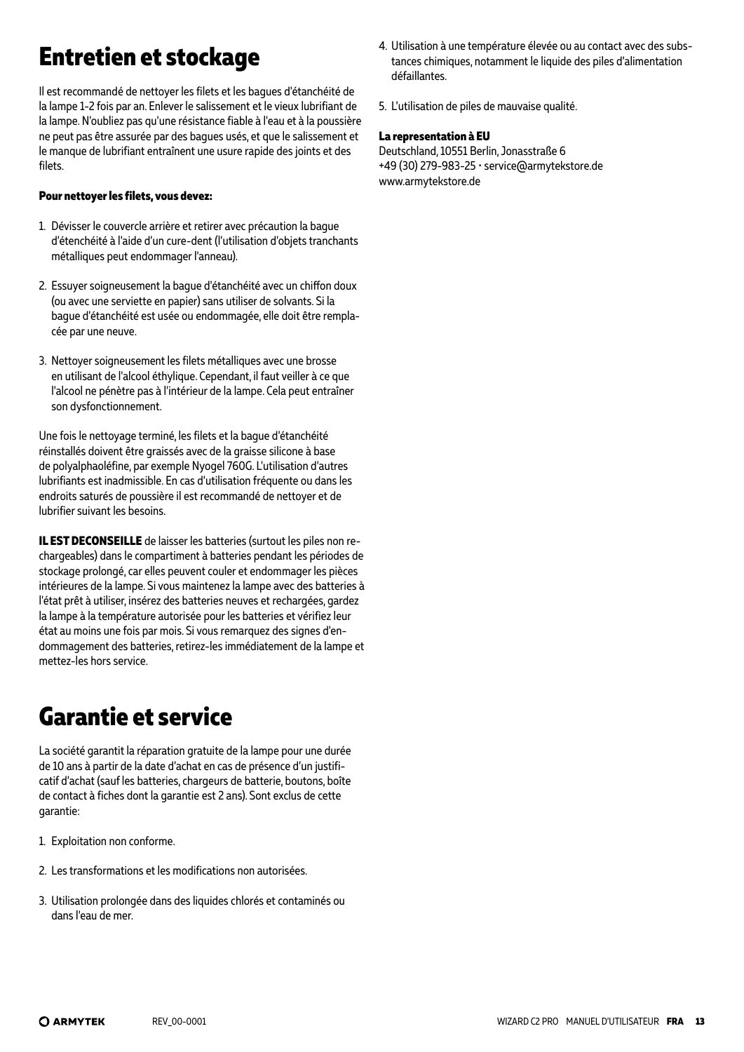## **Entretien et stockage**

Il est recommandé de nettoyer les filets et les bagues d'étanchéité de la lampe 1-2 fois par an. Enlever le salissement et le vieux lubrifiant de la lampe. N'oubliez pas qu'une résistance fiable à l'eau et à la poussière ne peut pas être assurée par des bagues usés, et que le salissement et le manque de lubrifiant entraînent une usure rapide des joints et des filets.

#### **Pour nettoyer les filets, vous devez:**

- 1. Dévisser le couvercle arrière et retirer avec précaution la bague d'étenchéité à l'aide d'un cure-dent (l'utilisation d'objets tranchants métalliques peut endommager l'anneau).
- 2. Essuyer soigneusement la bague d'étanchéité avec un chiffon doux (ou avec une serviette en papier) sans utiliser de solvants. Si la bague d'étanchéité est usée ou endommagée, elle doit être remplacée par une neuve.
- 3. Nettoyer soigneusement les filets métalliques avec une brosse en utilisant de l'alcool éthylique. Cependant, il faut veiller à ce que l'alcool ne pénètre pas à l'intérieur de la lampe. Cela peut entraîner son dysfonctionnement.

Une fois le nettoyage terminé, les filets et la bague d'étanchéité réinstallés doivent être graissés avec de la graisse silicone à base de polyalphaoléfine, par exemple Nyogel 760G. L'utilisation d'autres lubrifiants est inadmissible. En cas d'utilisation fréquente ou dans les endroits saturés de poussière il est recommandé de nettoyer et de lubrifier suivant les besoins.

**IL EST DECONSEILLE** de laisser les batteries (surtout les piles non rechargeables) dans le compartiment à batteries pendant les périodes de stockage prolongé, car elles peuvent couler et endommager les pièces intérieures de la lampe. Si vous maintenez la lampe avec des batteries à l'état prêt à utiliser, insérez des batteries neuves et rechargées, gardez la lampe à la température autorisée pour les batteries et vérifiez leur état au moins une fois par mois. Si vous remarquez des signes d'endommagement des batteries, retirez-les immédiatement de la lampe et mettez-les hors service.

## **Garantie et service**

La société garantit la réparation gratuite de la lampe pour une durée de 10 ans à partir de la date d'achat en cas de présence d'un justificatif d'achat (sauf les batteries, chargeurs de batterie, boutons, boîte de contact à fiches dont la garantie est 2 ans). Sont exclus de cette garantie:

- 1. Exploitation non conforme.
- 2. Les transformations et les modifications non autorisées.
- 3. Utilisation prolongée dans des liquides chlorés et contaminés ou dans l'eau de mer.
- 4. Utilisation à une température élevée ou au contact avec des substances chimiques, notamment le liquide des piles d'alimentation défaillantes.
- 5. L'utilisation de piles de mauvaise qualité.

#### **La representation à EU**

Deutschland, 10551 Berlin, Jonasstraße 6 +49 (30) 279-983-25 • service@armytekstore.de www.armytekstore.de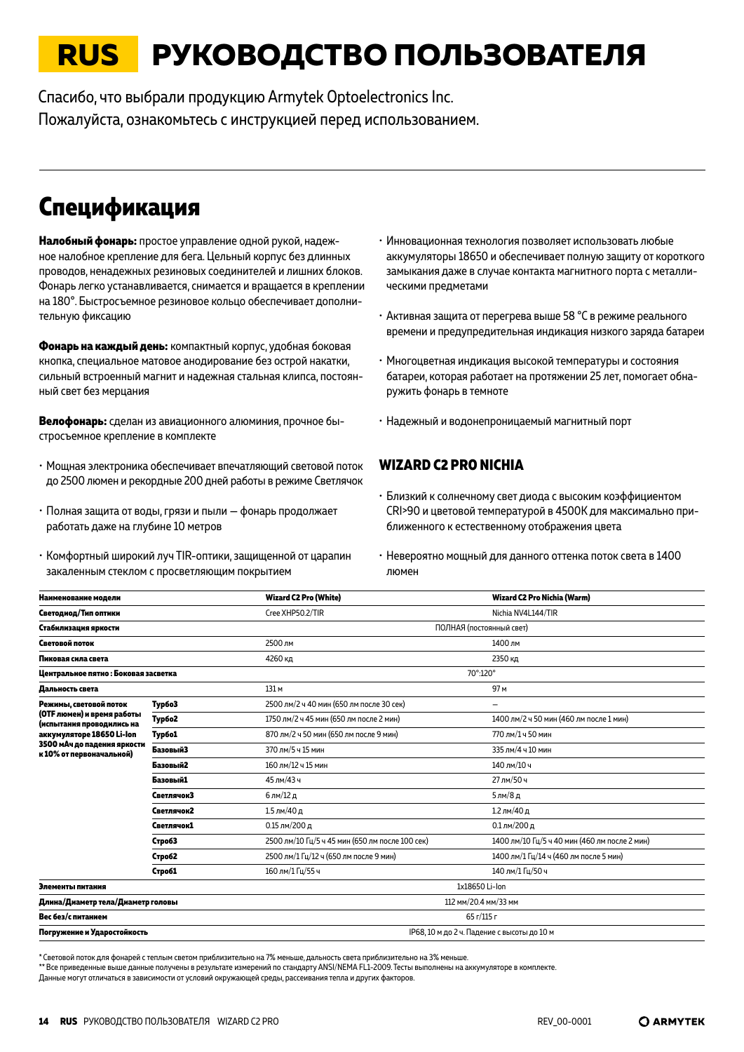# <span id="page-13-0"></span>**RUS РУКОВОДСТВО ПОЛЬЗОВАТЕЛЯ**

Спасибо, что выбрали продукцию Armytek Optoelectronics Inc. Пожалуйста, ознакомьтесь с инструкцией перед использованием.

### **Спецификация**

**Налобный фонарь:** простое управление одной рукой, надежное налобное крепление для бега. Цельный корпус без длинных проводов, ненадежных резиновых соединителей и лишних блоков. Фонарь легко устанавливается, снимается и вращается в креплении на 180°. Быстросъемное резиновое кольцо обеспечивает дополнительную фиксацию

**Фонарь на каждый день:** компактный корпус, удобная боковая кнопка, специальное матовое анодирование без острой накатки, сильный встроенный магнит и надежная стальная клипса, постоянный свет без мерцания

**Велофонарь:** сделан из авиационного алюминия, прочное быстросъемное крепление в комплекте

- Мощная электроника обеспечивает впечатляющий световой поток до 2500 люмен и рекордные 200 дней работы в режиме Светлячок
- Полная защита от воды, грязи и пыли фонарь продолжает работать даже на глубине 10 метров
- Комфортный широкий луч TIR-оптики, защищенной от царапин закаленным стеклом с просветляющим покрытием
- Инновационная технология позволяет использовать любые аккумуляторы 18650 и обеспечивает полную защиту от короткого замыкания даже в случае контакта магнитного порта с металлическими предметами
- Активная защита от перегрева выше 58 °С в режиме реального времени и предупредительная индикация низкого заряда батареи
- Многоцветная индикация высокой температуры и состояния батареи, которая работает на протяжении 25 лет, помогает обнаружить фонарь в темноте
- Надежный и водонепроницаемый магнитный порт

### **WIZARD C2 PRO NICHIA**

- Близкий к солнечному свет диода с высоким коэффициентом CRI>90 и цветовой температурой в 4500К для максимально приближенного к естественному отображения цвета
- Невероятно мощный для данного оттенка поток света в 1400 люмен

| Наименование модели                                     |               | <b>Wizard C2 Pro (White)</b>                    | Wizard C2 Pro Nichia (Warm)                   |  |
|---------------------------------------------------------|---------------|-------------------------------------------------|-----------------------------------------------|--|
| Светодиод/Тип оптики                                    |               | Cree XHP50.2/TIR                                | Nichia NV4L144/TIR                            |  |
| Стабилизация яркости                                    |               |                                                 | ПОЛНАЯ (постоянный свет)                      |  |
| Световой поток                                          |               | 2500 лм                                         | 1400 лм                                       |  |
| Пиковая сила света                                      |               | 4260 кд                                         | 2350 кд                                       |  |
| Центральное пятно : Боковая засветка                    |               |                                                 | 70°:120°                                      |  |
| Дальность света                                         |               | 131 M                                           | 97 <sub>M</sub>                               |  |
| Режимы, световой поток                                  | ТурбоЗ        | 2500 лм/2 ч 40 мин (650 лм после 30 сек)        | $\overline{\phantom{0}}$                      |  |
| (ОТГ люмен) и время работы<br>(испытания проводились на | Typ6o2        | 1750 лм/2 ч 45 мин (650 лм после 2 мин)         | 1400 лм/2 ч 50 мин (460 лм после 1 мин)       |  |
| аккумуляторе 18650 Li-lon                               | Typ6o1        | 870 лм/2 ч 50 мин (650 лм после 9 мин)          | 770 лм/1 ч 50 мин                             |  |
| 3500 мАч до падения яркости<br>к 10% от первоначальной) | Базовый3      | 370 лм/5 ч 15 мин                               | 335 лм/4 ч 10 мин                             |  |
|                                                         | Базовый2      | 160 лм/12 ч 15 мин                              | 140 лм/10 ч                                   |  |
|                                                         | Базовый1      | 45 лм/43 ч                                      | 27 лм/50 ч                                    |  |
|                                                         | Светлячок3    | 6 лм/12 д                                       | 5 лм/8 д                                      |  |
|                                                         | Светлячок2    | 1.5 лм/40 д                                     | 1.2 лм/40 д                                   |  |
|                                                         | Светлячок1    | 0.15 лм/200 д                                   | 0.1 лм/200 д                                  |  |
|                                                         | СтробЗ        | 2500 лм/10 Гц/5 ч 45 мин (650 лм после 100 сек) | 1400 лм/10 Гц/5 ч 40 мин (460 лм после 2 мин) |  |
|                                                         | Строб2        | 2500 лм/1 Гц/12 ч (650 лм после 9 мин)          | 1400 лм/1 Гц/14 ч (460 лм после 5 мин)        |  |
|                                                         | <b>Строб1</b> | 160 лм/1 Гц/55 ч                                | 140 лм/1 Гц/50 ч                              |  |
| Элементы питания                                        |               |                                                 | 1x18650 Li-lon                                |  |
| Длина/Диаметр тела/Диаметр головы                       |               |                                                 | 112 мм/20.4 мм/33 мм                          |  |
| Вес без/с питанием                                      |               |                                                 | 65 г/115 г                                    |  |
| Погружение и Ударостойкость                             |               |                                                 | IP68, 10 м до 2 ч. Падение с высоты до 10 м   |  |

\* Световой поток для фонарей с теплым светом приблизительно на 7% меньше, дальность света приблизительно на 3% меньше.

\*\* Все приведенные выше данные получены в результате измерений по стандарту ANSI/NEMA FL1-2009. Тесты выполнены на аккумуляторе в комплекте.

Данные могут отличаться в зависимости от условий окружающей среды, рассеивания тепла и других факторов.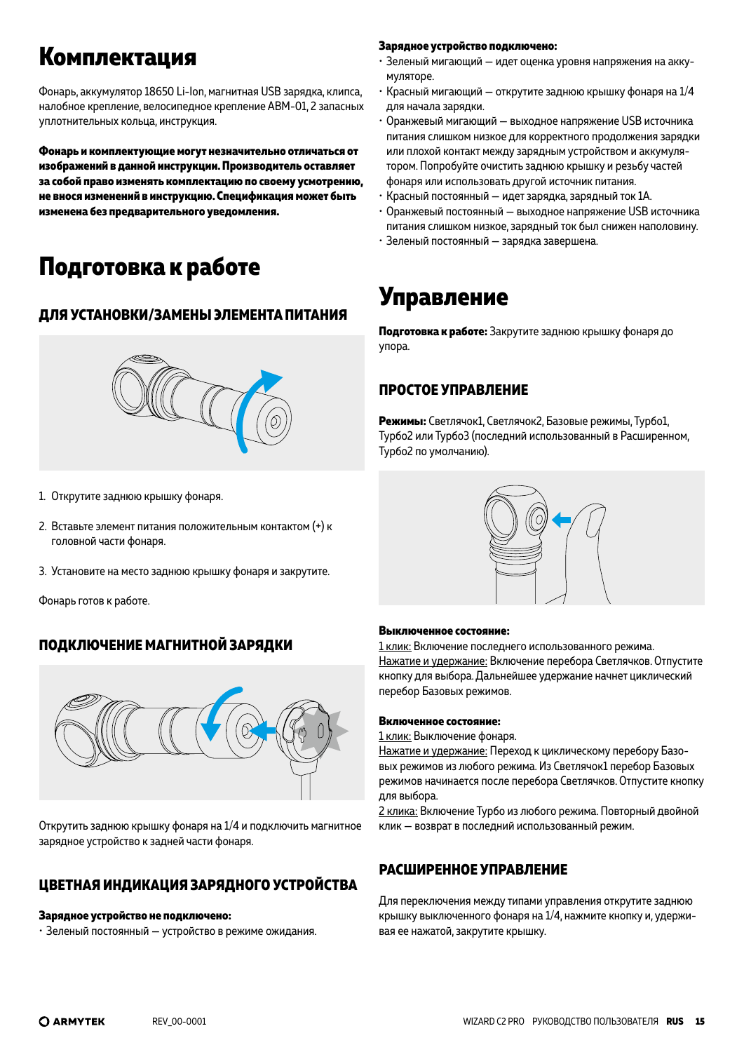## **Комплектация**

Фонарь, аккумулятор 18650 Li-Ion, магнитная USB зарядка, клипса, налобное крепление, велосипедное крепление ABM-01, 2 запасных уплотнительных кольца, инструкция.

**Фонарь и комплектующие могут незначительно отличаться от изображений в данной инструкции. Производитель оставляет за собой право изменять комплектацию по своему усмотрению, не внося изменений в инструкцию. Спецификация может быть изменена без предварительного уведомления.**

## **Подготовка к работе**

### **ДЛЯ УСТАНОВКИ/ЗАМЕНЫ ЭЛЕМЕНТА ПИТАНИЯ**



- 1. Открутите заднюю крышку фонаря.
- 2. Вставьте элемент питания положительным контактом (+) к головной части фонаря.
- 3. Установите на место заднюю крышку фонаря и закрутите.

Фонарь готов к работе.

### **ПОДКЛЮЧЕНИЕ МАГНИТНОЙ ЗАРЯДКИ**



Открутить заднюю крышку фонаря на 1/4 и подключить магнитное зарядное устройство к задней части фонаря.

### **ЦВЕТНАЯ ИНДИКАЦИЯ ЗАРЯДНОГО УСТРОЙСТВА**

#### **Зарядное устройство не подключено:**

• Зеленый постоянный — устройство в режиме ожидания.

#### **Зарядное устройство подключено:**

- Зеленый мигающий идет оценка уровня напряжения на аккумуляторе.
- Красный мигающий открутите заднюю крышку фонаря на 1/4 для начала зарядки.
- Оранжевый мигающий выходное напряжение USB источника питания слишком низкое для корректного продолжения зарядки или плохой контакт между зарядным устройством и аккумулятором. Попробуйте очистить заднюю крышку и резьбу частей фонаря или использовать другой источник питания.
- Красный постоянный идет зарядка, зарядный ток 1А.
- Оранжевый постоянный выходное напряжение USB источника питания слишком низкое, зарядный ток был снижен наполовину.
- Зеленый постоянный зарядка завершена.

### **Управление**

**Подготовка к работе:** Закрутите заднюю крышку фонаря до упора.

### **ПРОСТОЕ УПРАВЛЕНИЕ**

**Режимы:** Светлячок1, Светлячок2, Базовые режимы, Турбо1, Турбо2 или Турбо3 (последний использованный в Расширенном, Турбо2 по умолчанию).



#### **Выключенное состояние:**

1 клик: Включение последнего использованного режима. Нажатие и удержание: Включение перебора Светлячков. Отпустите кнопку для выбора. Дальнейшее удержание начнет циклический перебор Базовых режимов.

#### **Включенное состояние:**

1 клик: Выключение фонаря.

Нажатие и удержание: Переход к циклическому перебору Базовых режимов из любого режима. Из Светлячок1 перебор Базовых режимов начинается после перебора Светлячков. Отпустите кнопку для выбора.

2 клика: Включение Турбо из любого режима. Повторный двойной клик — возврат в последний использованный режим.

### **РАСШИРЕННОЕ УПРАВЛЕНИЕ**

Для переключения между типами управления открутите заднюю крышку выключенного фонаря на 1/4, нажмите кнопку и, удерживая ее нажатой, закрутите крышку.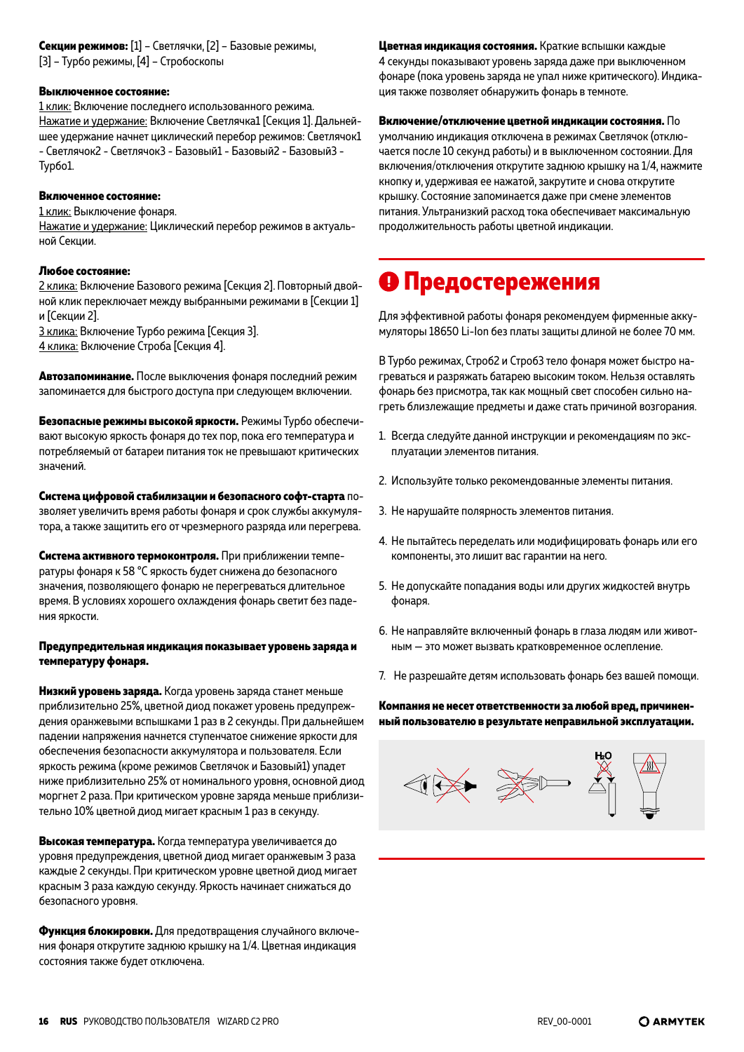#### **Выключенное состояние:**

1 клик: Включение последнего использованного режима. Нажатие и удержание: Включение Светлячка1 [Cекция 1]. Дальнейшее удержание начнет циклический перебор режимов: Светлячок1 - Светлячок2 - Светлячок3 - Базовый1 - Базовый2 - Базовый3 - Турбо1.

#### **Включенное состояние:**

1 клик: Выключение фонаря.

Нажатие и удержание: Циклический перебор режимов в актуальной Секции.

#### **Любое состояние:**

2 клика: Включение Базового режима [Cекция 2]. Повторный двойной клик переключает между выбранными режимами в [Секции 1] и [Секции 2].

3 клика: Включение Турбо режима [Cекция 3].

4 клика: Включение Строба [Cекция 4].

**Автозапоминание.** После выключения фонаря последний режим запоминается для быстрого доступа при следующем включении.

**Безопасные режимы высокой яркости.** Режимы Турбо обеспечивают высокую яркость фонаря до тех пор, пока его температура и потребляемый от батареи питания ток не превышают критических значений.

**Система цифровой стабилизации и безопасного софт-старта** позволяет увеличить время работы фонаря и срок службы аккумулятора, а также защитить его от чрезмерного разряда или перегрева.

**Система активного термоконтроля.** При приближении температуры фонаря к 58 °C яркость будет снижена до безопасного значения, позволяющего фонарю не перегреваться длительное время. В условиях хорошего охлаждения фонарь светит без падения яркости.

#### **Предупредительная индикация показывает уровень заряда и температуру фонаря.**

**Низкий уровень заряда.** Когда уровень заряда станет меньше приблизительно 25%, цветной диод покажет уровень предупреждения оранжевыми вспышками 1 раз в 2 секунды. При дальнейшем падении напряжения начнется ступенчатое снижение яркости для обеспечения безопасности аккумулятора и пользователя. Если яркость режима (кроме режимов Светлячок и Базовый1) упадет ниже приблизительно 25% от номинального уровня, основной диод моргнет 2 раза. При критическом уровне заряда меньше приблизительно 10% цветной диод мигает красным 1 раз в секунду.

**Высокая температура.** Когда температура увеличивается до уровня предупреждения, цветной диод мигает оранжевым 3 раза каждые 2 секунды. При критическом уровне цветной диод мигает красным 3 раза каждую секунду. Яркость начинает снижаться до безопасного уровня.

**Функция блокировки.** Для предотвращения случайного включения фонаря открутите заднюю крышку на 1/4. Цветная индикация состояния также будет отключена.

**Цветная индикация состояния.** Краткие вспышки каждые 4 секунды показывают уровень заряда даже при выключенном фонаре (пока уровень заряда не упал ниже критического). Индикация также позволяет обнаружить фонарь в темноте.

#### **Включение/отключение цветной индикации состояния.** По умолчанию индикация отключена в режимах Светлячок (отключается после 10 секунд работы) и в выключенном состоянии. Для включения/отключения открутите заднюю крышку на 1/4, нажмите кнопку и, удерживая ее нажатой, закрутите и снова открутите крышку. Состояние запоминается даже при смене элементов питания. Ультранизкий расход тока обеспечивает максимальную продолжительность работы цветной индикации.

### **Предостережения**

Для эффективной работы фонаря рекомендуем фирменные аккумуляторы 18650 Li-Ion без платы защиты длиной не более 70 мм.

В Турбо режимах, Строб2 и Строб3 тело фонаря может быстро нагреваться и разряжать батарею высоким током. Нельзя оставлять фонарь без присмотра, так как мощный свет способен сильно нагреть близлежащие предметы и даже стать причиной возгорания.

- 1. Всегда следуйте данной инструкции и рекомендациям по эксплуатации элементов питания.
- 2. Используйте только рекомендованные элементы питания.
- 3. Не нарушайте полярность элементов питания.
- 4. Не пытайтесь переделать или модифицировать фонарь или его компоненты, это лишит вас гарантии на него.
- 5. Не допускайте попадания воды или других жидкостей внутрь фонаря.
- 6. Не направляйте включенный фонарь в глаза людям или животным — это может вызвать кратковременное ослепление.
- 7. Не разрешайте детям использовать фонарь без вашей помощи.

**Компания не несет ответственности за любой вред, причиненный пользователю в результате неправильной эксплуатации.**

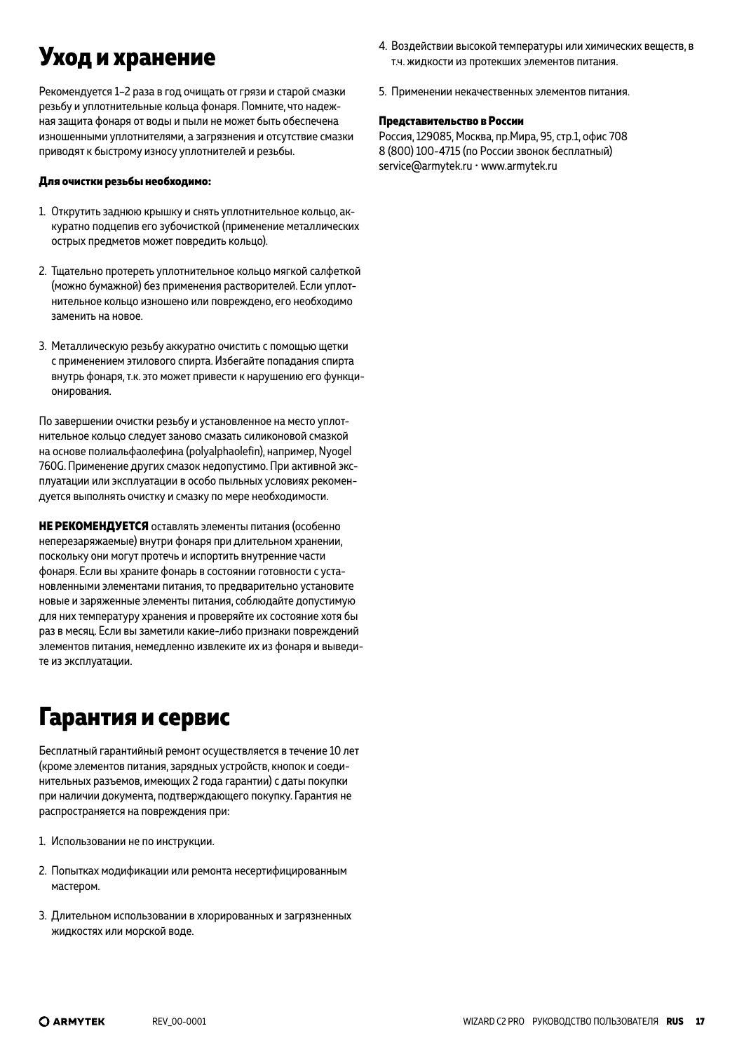## **Уход и хранение**

Рекомендуется 1–2 раза в год очищать от грязи и старой смазки резьбу и уплотнительные кольца фонаря. Помните, что надежная защита фонаря от воды и пыли не может быть обеспечена изношенными уплотнителями, а загрязнения и отсутствие смазки приводят к быстрому износу уплотнителей и резьбы.

#### **Для очистки резьбы необходимо:**

- 1. Открутить заднюю крышку и снять уплотнительное кольцо, аккуратно подцепив его зубочисткой (применение металлических острых предметов может повредить кольцо).
- 2. Тщательно протереть уплотнительное кольцо мягкой салфеткой (можно бумажной) без применения растворителей. Если уплотнительное кольцо изношено или повреждено, его необходимо заменить на новое.
- 3. Металлическую резьбу аккуратно очистить с помощью щетки с применением этилового спирта. Избегайте попадания спирта внутрь фонаря, т.к. это может привести к нарушению его функционирования.

По завершении очистки резьбу и установленное на место уплотнительное кольцо следует заново смазать силиконовой смазкой на основе полиальфаолефина (polyalphaolefin), например, Nyogel 760G. Применение других смазок недопустимо. При активной эксплуатации или эксплуатации в особо пыльных условиях рекомендуется выполнять очистку и смазку по мере необходимости.

**НЕ РЕКОМЕНДУЕТСЯ** оставлять элементы питания (особенно неперезаряжаемые) внутри фонаря при длительном хранении, поскольку они могут протечь и испортить внутренние части фонаря. Если вы храните фонарь в состоянии готовности с установленными элементами питания, то предварительно установите новые и заряженные элементы питания, соблюдайте допустимую для них температуру хранения и проверяйте их состояние хотя бы раз в месяц. Если вы заметили какие-либо признаки повреждений элементов питания, немедленно извлеките их из фонаря и выведите из эксплуатации.

## **Гарантия и сервис**

Бесплатный гарантийный ремонт осуществляется в течение 10 лет (кроме элементов питания, зарядных устройств, кнопок и соединительных разъемов, имеющих 2 года гарантии) с даты покупки при наличии документа, подтверждающего покупку. Гарантия не распространяется на повреждения при:

- 1. Использовании не по инструкции.
- 2. Попытках модификации или ремонта несертифицированным мастером.
- 3. Длительном использовании в хлорированных и загрязненных жидкостях или морской воде.
- 4. Воздействии высокой температуры или химических веществ, в т.ч. жидкости из протекших элементов питания.
- 5. Применении некачественных элементов питания.

#### **Представительство в России**

Россия, 129085, Москва, пр.Мира, 95, стр.1, офис 708 8 (800) 100-4715 (по России звонок бесплатный) service@armytek.ru • www.armytek.ru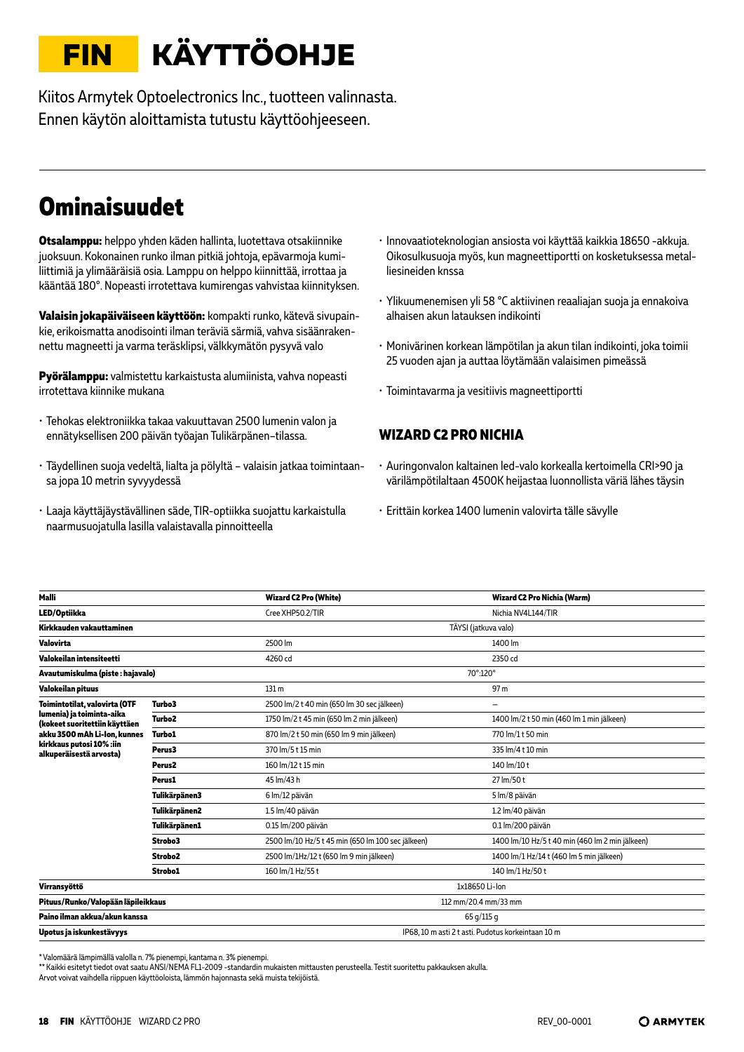# <span id="page-17-0"></span>**FIN KÄYTTÖOHJE**

Kiitos Armytek Optoelectronics Inc., tuotteen valinnasta. Ennen käytön aloittamista tutustu käyttöohjeeseen.

## **Ominaisuudet**

**Otsalamppu:** helppo yhden käden hallinta, luotettava otsakiinnike juoksuun. Kokonainen runko ilman pitkiä johtoja, epävarmoja kumiliittimiä ja ylimääräisiä osia. Lamppu on helppo kiinnittää, irrottaa ja kääntää 180°. Nopeasti irrotettava kumirengas vahvistaa kiinnityksen.

**Valaisin jokapäiväiseen käyttöön:** kompakti runko, kätevä sivupainkie, erikoismatta anodisointi ilman teräviä särmiä, vahva sisäänrakennettu magneetti ja varma teräsklipsi, välkkymätön pysyvä valo

**Pyörälamppu:** valmistettu karkaistusta alumiinista, vahva nopeasti irrotettava kiinnike mukana

- Tehokas elektroniikka takaa vakuuttavan 2500 lumenin valon ja ennätyksellisen 200 päivän työajan Tulikärpänen–tilassa.
- Täydellinen suoja vedeltä, lialta ja pölyltä valaisin jatkaa toimintaansa jopa 10 metrin syvyydessä
- Laaja käyttäjäystävällinen säde, TIR-optiikka suojattu karkaistulla naarmusuojatulla lasilla valaistavalla pinnoitteella
- Innovaatioteknologian ansiosta voi käyttää kaikkia 18650 -akkuja. Oikosulkusuoja myös, kun magneettiportti on kosketuksessa metalliesineiden knssa
- Ylikuumenemisen yli 58 °С aktiivinen reaaliajan suoja ja ennakoiva alhaisen akun latauksen indikointi
- Monivärinen korkean lämpötilan ja akun tilan indikointi, joka toimii 25 vuoden ajan ja auttaa löytämään valaisimen pimeässä
- Toimintavarma ja vesitiivis magneettiportti

#### **WIZARD C2 PRO NICHIA**

- Auringonvalon kaltainen led-valo korkealla kertoimella CRI>90 ja värilämpötilaltaan 4500K heijastaa luonnollista väriä lähes täysin
- Erittäin korkea 1400 lumenin valovirta tälle sävylle

|                     | <b>Wizard C2 Pro (White)</b>                                                                             | Wizard C2 Pro Nichia (Warm)                        |  |
|---------------------|----------------------------------------------------------------------------------------------------------|----------------------------------------------------|--|
|                     | Cree XHP50.2/TIR                                                                                         | Nichia NV4L144/TIR                                 |  |
|                     |                                                                                                          | TÄYSI (jatkuva valo)                               |  |
|                     | 2500 lm                                                                                                  | 1400 lm                                            |  |
|                     | 4260 cd                                                                                                  | 2350 cd                                            |  |
|                     |                                                                                                          | 70°:120°                                           |  |
|                     | 131 <sub>m</sub>                                                                                         | 97 <sub>m</sub>                                    |  |
| Turbo3              | 2500 lm/2 t 40 min (650 lm 30 sec jälkeen)                                                               | $\overline{\phantom{0}}$                           |  |
| Turbo <sub>2</sub>  | 1750 lm/2 t 45 min (650 lm 2 min jälkeen)                                                                | 1400 lm/2 t 50 min (460 lm 1 min jälkeen)          |  |
| <b>Turbo1</b>       | 870 lm/2 t 50 min (650 lm 9 min jälkeen)                                                                 | 770 lm/1 t 50 min                                  |  |
| Perus3              | 370 lm/5 t 15 min                                                                                        | 335 lm/4 t 10 min                                  |  |
| Perus <sub>2</sub>  | 160 lm/12 t 15 min                                                                                       | 140 lm/10 t                                        |  |
| Perus1              | 45 lm/43 h                                                                                               | 27 lm/50 t                                         |  |
| Tulikärpänen3       | 6 lm/12 päivän                                                                                           | 5 lm/8 päivän                                      |  |
| Tulikärpänen2       | 1.5 lm/40 päivän                                                                                         | 1.2 lm/40 päivän                                   |  |
| Tulikärpänen1       | 0.15 lm/200 päivän                                                                                       | 0.1 lm/200 päivän                                  |  |
| Strobo3             | 2500 lm/10 Hz/5 t 45 min (650 lm 100 sec jälkeen)                                                        | 1400 lm/10 Hz/5 t 40 min (460 lm 2 min jälkeen)    |  |
| Strobo <sub>2</sub> | 2500 lm/1Hz/12 t (650 lm 9 min jälkeen)                                                                  | 1400 lm/1 Hz/14 t (460 lm 5 min jälkeen)           |  |
| Strobo1             | 160 lm/1 Hz/55 t                                                                                         | 140 lm/1 Hz/50 t                                   |  |
|                     | 1x18650 Li-lon                                                                                           |                                                    |  |
|                     |                                                                                                          | 112 mm/20.4 mm/33 mm                               |  |
|                     |                                                                                                          | 65 g/115 g                                         |  |
|                     |                                                                                                          | IP68, 10 m asti 2 t asti. Pudotus korkeintaan 10 m |  |
|                     | Avautumiskulma (piste : hajavalo)<br>Pituus/Runko/Valopään läpileikkaus<br>Paino ilman akkua/akun kanssa |                                                    |  |

\* Valomäärä lämpimällä valolla n. 7% pienempi, kantama n. 3% pienempi.

\*\* Kaikki esitetyt tiedot ovat saatu ANSI/NEMA FL1-2009 -standardin mukaisten mittausten perusteella. Testit suoritettu pakkauksen akulla.

Arvot voivat vaihdella riippuen käyttöoloista, lämmön hajonnasta sekä muista tekijöistä.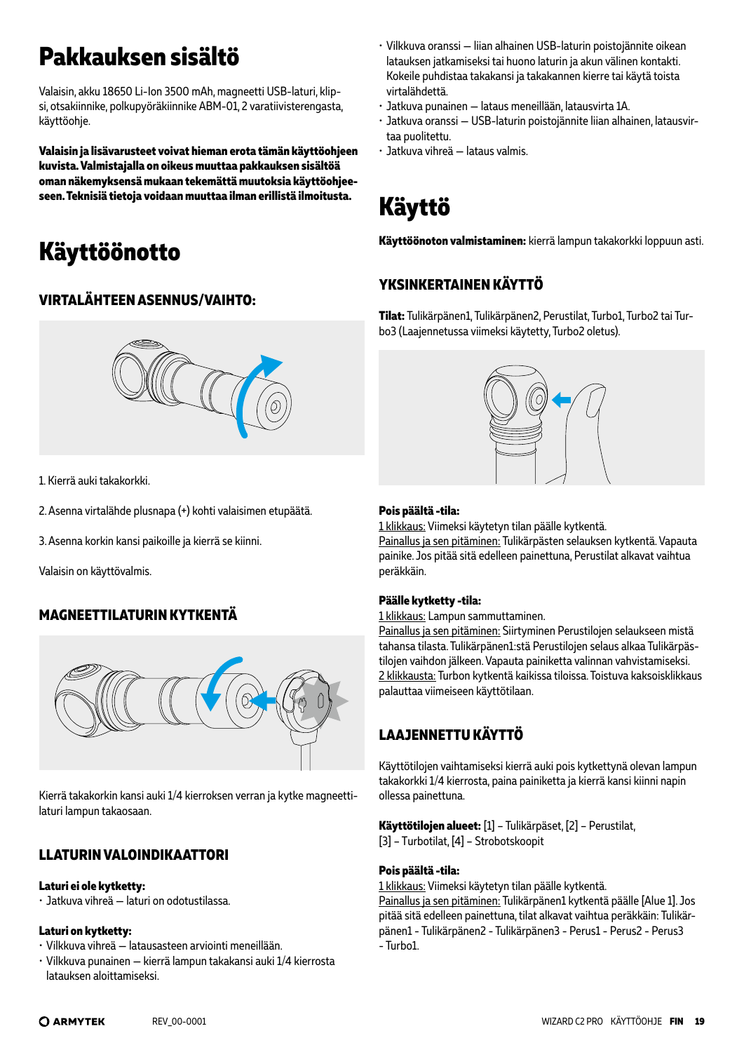## **Pakkauksen sisältö**

Valaisin, akku 18650 Li-Ion 3500 mAh, magneetti USB-laturi, klipsi, otsakiinnike, polkupyöräkiinnike ABM-01, 2 varatiivisterengasta, käyttöohje.

**Valaisin ja lisävarusteet voivat hieman erota tämän käyttöohjeen kuvista. Valmistajalla on oikeus muuttaa pakkauksen sisältöä oman näkemyksensä mukaan tekemättä muutoksia käyttöohjeeseen. Teknisiä tietoja voidaan muuttaa ilman erillistä ilmoitusta.**

## **Käyttöönotto**

### **VIRTALÄHTEEN ASENNUS/VAIHTO:**



1. Kierrä auki takakorkki.

- 2. Asenna virtalähde plusnapa (+) kohti valaisimen etupäätä.
- 3. Asenna korkin kansi paikoille ja kierrä se kiinni.

Valaisin on käyttövalmis.

### **MAGNEETTILATURIN KYTKENTÄ**



Kierrä takakorkin kansi auki 1/4 kierroksen verran ja kytke magneettilaturi lampun takaosaan.

### **LLATURIN VALOINDIKAATTORI**

#### **Laturi ei ole kytketty:**

• Jatkuva vihreä — laturi on odotustilassa.

#### **Laturi on kytketty:**

- Vilkkuva vihreä latausasteen arviointi meneillään.
- Vilkkuva punainen kierrä lampun takakansi auki 1/4 kierrosta latauksen aloittamiseksi.
- Vilkkuva oranssi liian alhainen USB-laturin poistojännite oikean latauksen jatkamiseksi tai huono laturin ja akun välinen kontakti. Kokeile puhdistaa takakansi ja takakannen kierre tai käytä toista virtalähdettä.
- Jatkuva punainen lataus meneillään, latausvirta 1A.
- Jatkuva oranssi USB-laturin poistojännite liian alhainen, latausvirtaa puolitettu.
- Jatkuva vihreä lataus valmis.

## **Käyttö**

**Käyttöönoton valmistaminen:** kierrä lampun takakorkki loppuun asti.

### **YKSINKERTAINEN KÄYTTÖ**

**Tilat:** Tulikärpänen1, Tulikärpänen2, Perustilat, Turbo1, Turbo2 tai Turbo3 (Laajennetussa viimeksi käytetty, Turbo2 oletus).



#### **Pois päältä -tila:**

1 klikkaus: Viimeksi käytetyn tilan päälle kytkentä.

Painallus ja sen pitäminen: Tulikärpästen selauksen kytkentä. Vapauta painike. Jos pitää sitä edelleen painettuna, Perustilat alkavat vaihtua peräkkäin.

#### **Päälle kytketty -tila:**

1 klikkaus: Lampun sammuttaminen.

Painallus ja sen pitäminen: Siirtyminen Perustilojen selaukseen mistä tahansa tilasta. Tulikärpänen1:stä Perustilojen selaus alkaa Tulikärpästilojen vaihdon jälkeen. Vapauta painiketta valinnan vahvistamiseksi. 2 klikkausta: Turbon kytkentä kaikissa tiloissa. Toistuva kaksoisklikkaus palauttaa viimeiseen käyttötilaan.

### **LAAJENNETTU KÄYTTÖ**

Käyttötilojen vaihtamiseksi kierrä auki pois kytkettynä olevan lampun takakorkki 1/4 kierrosta, paina painiketta ja kierrä kansi kiinni napin ollessa painettuna.

**Käyttötilojen alueet:** [1] – Tulikärpäset, [2] – Perustilat, [3] – Тurbotilat, [4] – Strobotskoopit

#### **Pois päältä -tila:**

1 klikkaus: Viimeksi käytetyn tilan päälle kytkentä. Painallus ja sen pitäminen: Tulikärpänen1 kytkentä päälle [Alue 1]. Jos pitää sitä edelleen painettuna, tilat alkavat vaihtua peräkkäin: Tulikärpänen1 - Tulikärpänen2 - Tulikärpänen3 - Perus1 - Perus2 - Perus3 - Turbo1.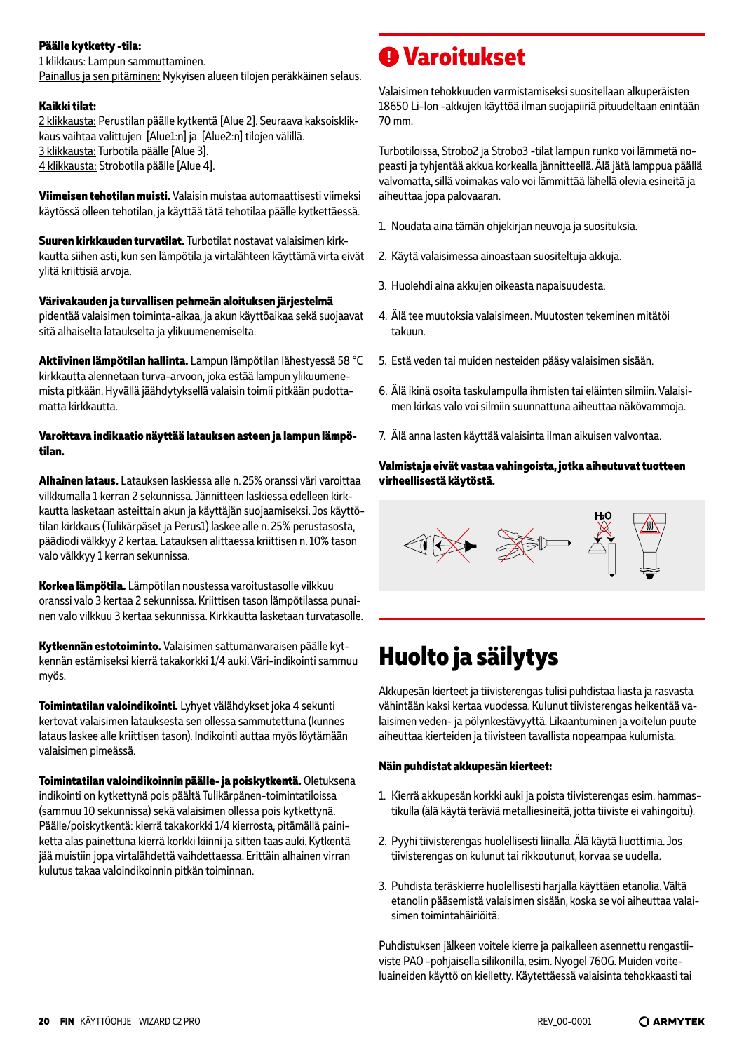#### **Päälle kytketty -tila:**

1 klikkaus: Lampun sammuttaminen. Painallus ja sen pitäminen: Nykyisen alueen tilojen peräkkäinen selaus.

#### **Kaikki tilat:**

2 klikkausta: Perustilan päälle kytkentä [Alue 2]. Seuraava kaksoisklikkaus vaihtaa valittujen [Alue1:n] ja [Alue2:n] tilojen välillä. 3 klikkausta: Turbotila päälle [Alue 3]. 4 klikkausta: Strobotila päälle [Alue 4].

**Viimeisen tehotilan muisti.** Valaisin muistaa automaattisesti viimeksi käytössä olleen tehotilan, ja käyttää tätä tehotilaa päälle kytkettäessä.

**Suuren kirkkauden turvatilat.** Turbotilat nostavat valaisimen kirkkautta siihen asti, kun sen lämpötila ja virtalähteen käyttämä virta eivät ylitä kriittisiä arvoja.

**Värivakauden ja turvallisen pehmeän aloituksen järjestelmä** pidentää valaisimen toiminta-aikaa, ja akun käyttöaikaa sekä suojaavat sitä alhaiselta lataukselta ja ylikuumenemiselta.

**Aktiivinen lämpötilan hallinta.** Lampun lämpötilan lähestyessä 58 °C kirkkautta alennetaan turva-arvoon, joka estää lampun ylikuumenemista pitkään. Hyvällä jäähdytyksellä valaisin toimii pitkään pudottamatta kirkkautta.

#### **Varoittava indikaatio näyttää latauksen asteen ja lampun lämpötilan.**

**Alhainen lataus.** Latauksen laskiessa alle n. 25% oranssi väri varoittaa vilkkumalla 1 kerran 2 sekunnissa. Jännitteen laskiessa edelleen kirkkautta lasketaan asteittain akun ja käyttäjän suojaamiseksi. Jos käyttötilan kirkkaus (Tulikärpäset ja Perus1) laskee alle n. 25% perustasosta, päädiodi välkkyy 2 kertaa. Latauksen alittaessa kriittisen n. 10% tason valo välkkyy 1 kerran sekunnissa.

**Korkea lämpötila.** Lämpötilan noustessa varoitustasolle vilkkuu oranssi valo 3 kertaa 2 sekunnissa. Kriittisen tason lämpötilassa punainen valo vilkkuu 3 kertaa sekunnissa. Kirkkautta lasketaan turvatasolle.

**Kytkennän estotoiminto.** Valaisimen sattumanvaraisen päälle kytkennän estämiseksi kierrä takakorkki 1/4 auki. Väri-indikointi sammuu myös.

**Toimintatilan valoindikointi.** Lyhyet välähdykset joka 4 sekunti kertovat valaisimen latauksesta sen ollessa sammutettuna (kunnes lataus laskee alle kriittisen tason). Indikointi auttaa myös löytämään valaisimen pimeässä.

**Toimintatilan valoindikoinnin päälle- ja poiskytkentä.** Oletuksena indikointi on kytkettynä pois päältä Tulikärpänen-toimintatiloissa (sammuu 10 sekunnissa) sekä valaisimen ollessa pois kytkettynä. Päälle/poiskytkentä: kierrä takakorkki 1/4 kierrosta, pitämällä painiketta alas painettuna kierrä korkki kiinni ja sitten taas auki. Kytkentä jää muistiin jopa virtalähdettä vaihdettaessa. Erittäin alhainen virran kulutus takaa valoindikoinnin pitkän toiminnan.

## **Varoitukset**

Valaisimen tehokkuuden varmistamiseksi suositellaan alkuperäisten 18650 Li-Ion -akkujen käyttöä ilman suojapiiriä pituudeltaan enintään 70 mm.

Turbotiloissa, Strobo2 ja Strobo3 -tilat lampun runko voi lämmetä nopeasti ja tyhjentää akkua korkealla jännitteellä. Älä jätä lamppua päällä valvomatta, sillä voimakas valo voi lämmittää lähellä olevia esineitä ja aiheuttaa jopa palovaaran.

- 1. Noudata aina tämän ohjekirjan neuvoja ja suosituksia.
- 2. Käytä valaisimessa ainoastaan suositeltuja akkuja.
- 3. Huolehdi aina akkujen oikeasta napaisuudesta.
- 4. Älä tee muutoksia valaisimeen. Muutosten tekeminen mitätöi takuun.
- 5. Estä veden tai muiden nesteiden pääsy valaisimen sisään.
- 6. Älä ikinä osoita taskulampulla ihmisten tai eläinten silmiin. Valaisimen kirkas valo voi silmiin suunnattuna aiheuttaa näkövammoja.
- 7. Älä anna lasten käyttää valaisinta ilman aikuisen valvontaa.

#### **Valmistaja eivät vastaa vahingoista, jotka aiheutuvat tuotteen virheellisestä käytöstä.**



## **Huolto ja säilytys**

Akkupesän kierteet ja tiivisterengas tulisi puhdistaa liasta ja rasvasta vähintään kaksi kertaa vuodessa. Kulunut tiivisterengas heikentää valaisimen veden- ja pölynkestävyyttä. Likaantuminen ja voitelun puute aiheuttaa kierteiden ja tiivisteen tavallista nopeampaa kulumista.

#### **Näin puhdistat akkupesän kierteet:**

- 1. Kierrä akkupesän korkki auki ja poista tiivisterengas esim. hammastikulla (älä käytä teräviä metalliesineitä, jotta tiiviste ei vahingoitu).
- 2. Pyyhi tiivisterengas huolellisesti liinalla. Älä käytä liuottimia. Jos tiivisterengas on kulunut tai rikkoutunut, korvaa se uudella.
- 3. Puhdista teräskierre huolellisesti harjalla käyttäen etanolia. Vältä etanolin pääsemistä valaisimen sisään, koska se voi aiheuttaa valaisimen toimintahäiriöitä.

Puhdistuksen jälkeen voitele kierre ja paikalleen asennettu rengastiiviste PAO -pohjaisella silikonilla, esim. Nyogel 760G. Muiden voiteluaineiden käyttö on kielletty. Käytettäessä valaisinta tehokkaasti tai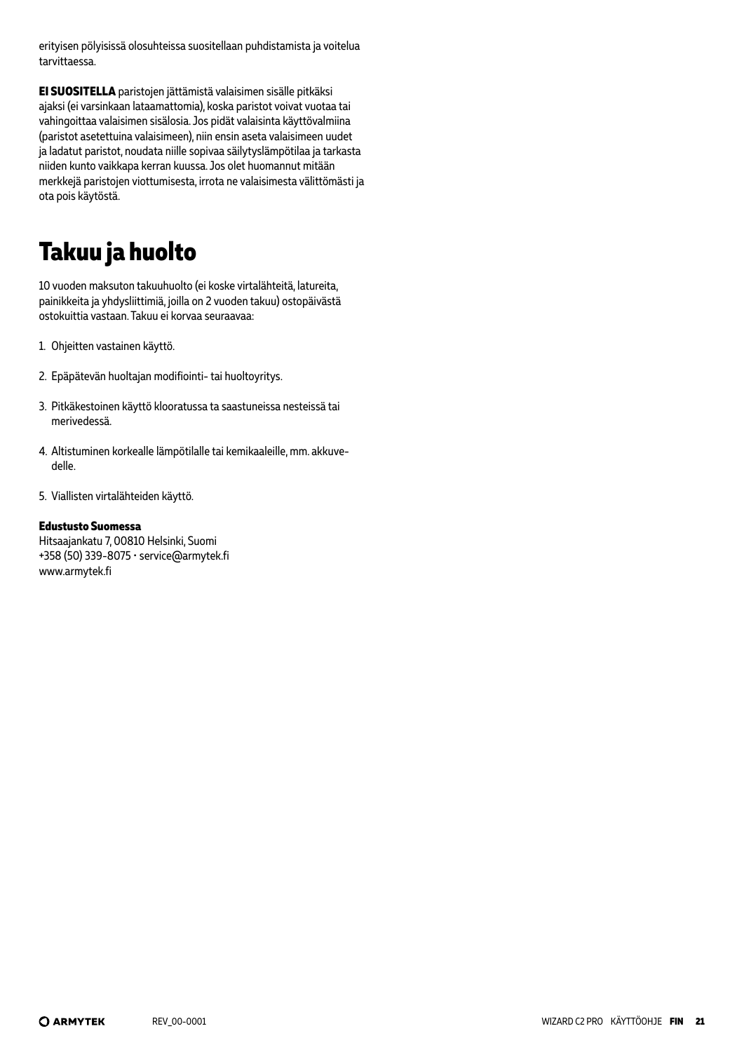erityisen pölyisissä olosuhteissa suositellaan puhdistamista ja voitelua tarvittaessa.

**EI SUOSITELLA** paristojen jättämistä valaisimen sisälle pitkäksi ajaksi (ei varsinkaan lataamattomia), koska paristot voivat vuotaa tai vahingoittaa valaisimen sisälosia. Jos pidät valaisinta käyttövalmiina (paristot asetettuina valaisimeen), niin ensin aseta valaisimeen uudet ja ladatut paristot, noudata niille sopivaa säilytyslämpötilaa ja tarkasta niiden kunto vaikkapa kerran kuussa. Jos olet huomannut mitään merkkejä paristojen viottumisesta, irrota ne valaisimesta välittömästi ja ota pois käytöstä.

## **Takuu ja huolto**

10 vuoden maksuton takuuhuolto (ei koske virtalähteitä, latureita, painikkeita ja yhdysliittimiä, joilla on 2 vuoden takuu) ostopäivästä ostokuittia vastaan. Takuu ei korvaa seuraavaa:

- 1. Ohjeitten vastainen käyttö.
- 2. Epäpätevän huoltajan modifiointi- tai huoltoyritys.
- 3. Pitkäkestoinen käyttö klooratussa ta saastuneissa nesteissä tai merivedessä.
- 4. Altistuminen korkealle lämpötilalle tai kemikaaleille, mm. akkuvedelle.
- 5. Viallisten virtalähteiden käyttö.

#### **Edustusto Suomessa**

Hitsaajankatu 7, 00810 Helsinki, Suomi +358 (50) 339-8075 • service@armytek.fi www.armytek.fi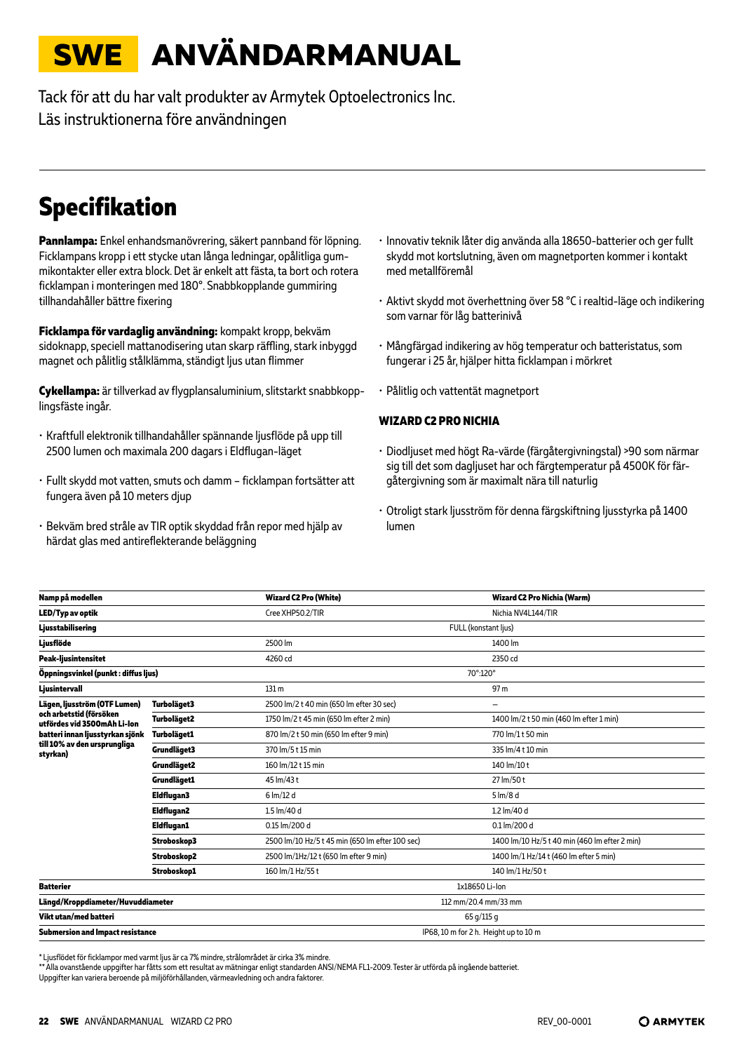# <span id="page-21-0"></span>**SWE ANVÄNDARMANUAL**

Tack för att du har valt produkter av Armytek Optoelectronics Inc. Läs instruktionerna före användningen

## **Specifikation**

**Pannlampa:** Enkel enhandsmanövrering, säkert pannband för löpning. Ficklampans kropp i ett stycke utan långa ledningar, opålitliga gummikontakter eller extra block. Det är enkelt att fästa, ta bort och rotera ficklampan i monteringen med 180°. Snabbkopplande gummiring tillhandahåller bättre fixering

**Ficklampa för vardaglig användning:** kompakt kropp, bekväm sidoknapp, speciell mattanodisering utan skarp räffling, stark inbyggd magnet och pålitlig stålklämma, ständigt ljus utan flimmer

**Cykellampa:** är tillverkad av flygplansaluminium, slitstarkt snabbkopplingsfäste ingår.

- Kraftfull elektronik tillhandahåller spännande ljusflöde på upp till 2500 lumen och maximala 200 dagars i Eldflugan-läget
- Fullt skydd mot vatten, smuts och damm ficklampan fortsätter att fungera även på 10 meters djup
- Bekväm bred stråle av TIR optik skyddad från repor med hjälp av härdat glas med antireflekterande beläggning
- Innovativ teknik låter dig använda alla 18650-batterier och ger fullt skydd mot kortslutning, även om magnetporten kommer i kontakt med metallföremål
- Aktivt skydd mot överhettning över 58 °C i realtid-läge och indikering som varnar för låg batterinivå
- Mångfärgad indikering av hög temperatur och batteristatus, som fungerar i 25 år, hjälper hitta ficklampan i mörkret
- Pålitlig och vattentät magnetport

#### **WIZARD C2 PRO NICHIA**

- Diodljuset med högt Ra-värde (färgåtergivningstal) >90 som närmar sig till det som dagljuset har och färgtemperatur på 4500K för färgåtergivning som är maximalt nära till naturlig
- Otroligt stark ljusström för denna färgskiftning ljusstyrka på 1400 lumen

| Namp på modellen                                       |                    | <b>Wizard C2 Pro (White)</b>                    | Wizard C2 Pro Nichia (Warm)                   |  |
|--------------------------------------------------------|--------------------|-------------------------------------------------|-----------------------------------------------|--|
| <b>LED/Typ av optik</b>                                |                    | Cree XHP50.2/TIR                                | Nichia NV4L144/TIR                            |  |
| Ljusstabilisering                                      |                    |                                                 | FULL (konstant ljus)                          |  |
| Ljusflöde                                              |                    | 2500 lm                                         | 1400 lm                                       |  |
| <b>Peak-ljusintensitet</b>                             |                    | 4260 cd                                         | 2350 cd                                       |  |
| Öppningsvinkel (punkt : diffus ljus)                   |                    |                                                 | 70°:120°                                      |  |
| Ljusintervall                                          |                    | 131 <sub>m</sub>                                | 97 <sub>m</sub>                               |  |
| Lägen, ljusström (OTF Lumen)                           | <b>Turboläget3</b> | 2500 lm/2 t 40 min (650 lm efter 30 sec)        | $\overline{\phantom{a}}$                      |  |
| och arbetstid (försöken<br>utfördes vid 3500mAh Li-Ion | Turboläget2        | 1750 lm/2 t 45 min (650 lm efter 2 min)         | 1400 lm/2 t 50 min (460 lm efter 1 min)       |  |
| batteri innan ljusstyrkan sjönk                        | <b>Turboläget1</b> | 870 lm/2 t 50 min (650 lm efter 9 min)          | 770 lm/1 t 50 min                             |  |
| till 10% av den ursprungliga<br>styrkan)               | Grundläget3        | 370 lm/5 t 15 min                               | 335 lm/4 t 10 min                             |  |
|                                                        | Grundläget2        | 160 lm/12 t 15 min                              | 140 lm/10 t                                   |  |
|                                                        | Grundläget1        | 45 lm/43 t                                      | 27 lm/50 t                                    |  |
|                                                        | Eldflugan3         | $6 \text{ Im}/12 \text{ d}$                     | $5 \, \text{Im}/\text{8} \, \text{d}$         |  |
|                                                        | Eldflugan2         | 1.5 lm/40 d                                     | 1.2 lm/40 d                                   |  |
|                                                        | Eldflugan1         | 0.15 lm/200 d                                   | $0.1 \, \text{Im}/200 \, \text{d}$            |  |
|                                                        | Stroboskop3        | 2500 lm/10 Hz/5 t 45 min (650 lm efter 100 sec) | 1400 lm/10 Hz/5 t 40 min (460 lm efter 2 min) |  |
|                                                        | Stroboskop2        | 2500 lm/1Hz/12 t (650 lm efter 9 min)           | 1400 lm/1 Hz/14 t (460 lm efter 5 min)        |  |
|                                                        | Stroboskop1        | 160 lm/1 Hz/55 t                                | 140 lm/1 Hz/50 t                              |  |
| <b>Batterier</b>                                       |                    |                                                 | 1x18650 Li-lon                                |  |
| Längd/Kroppdiameter/Huvuddiameter                      |                    |                                                 | 112 mm/20.4 mm/33 mm                          |  |
| Vikt utan/med batteri                                  |                    |                                                 | 65 g/115 g                                    |  |
| <b>Submersion and Impact resistance</b>                |                    |                                                 | IP68, 10 m for 2 h. Height up to 10 m         |  |

\* Ljusflödet för ficklampor med varmt ljus är ca 7% mindre, strålområdet är cirka 3% mindre.

\*\* Alla ovanstående uppgifter har fåtts som ett resultat av mätningar enligt standarden ANSI/NEMA FL1-2009. Tester är utförda på ingående batteriet.

Uppgifter kan variera beroende på miljöförhållanden, värmeavledning och andra faktorer.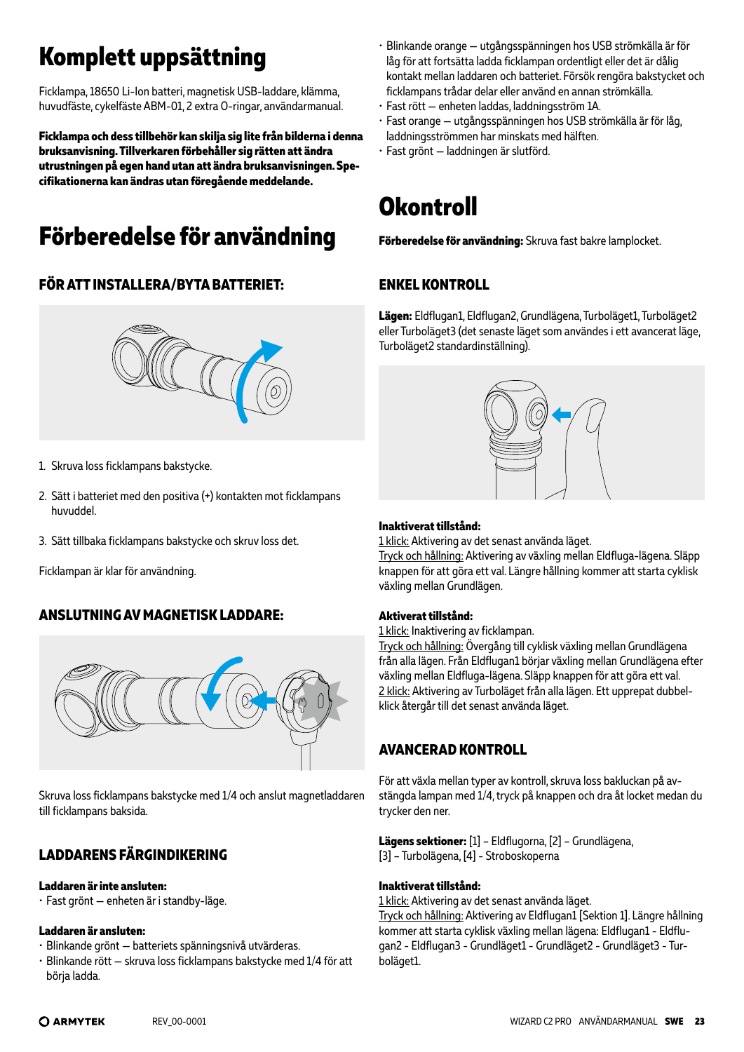## **Komplett uppsättning**

Ficklampa, 18650 Li-Ion batteri, magnetisk USB-laddare, klämma, huvudfäste, cykelfäste ABM-01, 2 extra O-ringar, användarmanual.

**Ficklampa och dess tillbehör kan skilja sig lite från bilderna i denna bruksanvisning. Tillverkaren förbehåller sig rätten att ändra utrustningen på egen hand utan att ändra bruksanvisningen. Specifikationerna kan ändras utan föregående meddelande.**

## **Förberedelse för användning**

### **FÖR ATT INSTALLERA/BYTA BATTERIET:**



- 1. Skruva loss ficklampans bakstycke.
- 2. Sätt i batteriet med den positiva (+) kontakten mot ficklampans huvuddel.
- 3. Sätt tillbaka ficklampans bakstycke och skruv loss det.

Ficklampan är klar för användning.

### **ANSLUTNING AV MAGNETISK LADDARE:**



Skruva loss ficklampans bakstycke med 1/4 och anslut magnetladdaren till ficklampans baksida.

### **LADDARENS FÄRGINDIKERING**

#### **Laddaren är inte ansluten:**

• Fast grönt — enheten är i standby-läge.

#### **Laddaren är ansluten:**

- Blinkande grönt batteriets spänningsnivå utvärderas.
- Blinkande rött skruva loss ficklampans bakstycke med 1/4 för att börja ladda.
- Blinkande orange utgångsspänningen hos USB strömkälla är för låg för att fortsätta ladda ficklampan ordentligt eller det är dålig kontakt mellan laddaren och batteriet. Försök rengöra bakstycket och ficklampans trådar delar eller använd en annan strömkälla.
- Fast rött enheten laddas, laddningsström 1A.
- Fast orange utgångsspänningen hos USB strömkälla är för låg, laddningsströmmen har minskats med hälften.
- Fast grönt laddningen är slutförd.

### **Okontroll**

**Förberedelse för användning:** Skruva fast bakre lamplocket.

#### **ENKEL KONTROLL**

**Lägen:** Eldflugan1, Eldflugan2, Grundlägena, Turboläget1, Turboläget2 eller Turboläget3 (det senaste läget som användes i ett avancerat läge, Turboläget2 standardinställning).



#### **Inaktiverat tillstånd:**

1 klick: Aktivering av det senast använda läget.

Tryck och hållning: Aktivering av växling mellan Eldfluga-lägena. Släpp knappen för att göra ett val. Längre hållning kommer att starta cyklisk växling mellan Grundlägen.

#### **Aktiverat tillstånd:**

1 klick: Inaktivering av ficklampan.

Tryck och hållning: Övergång till cyklisk växling mellan Grundlägena från alla lägen. Från Eldflugan1 börjar växling mellan Grundlägena efter växling mellan Eldfluga-lägena. Släpp knappen för att göra ett val. 2 klick: Aktivering av Turboläget från alla lägen. Ett upprepat dubbelklick återgår till det senast använda läget.

### **AVANCERAD KONTROLL**

För att växla mellan typer av kontroll, skruva loss bakluckan på avstängda lampan med 1/4, tryck på knappen och dra åt locket medan du trycker den ner.

**Lägens sektioner:** [1] – Eldflugorna, [2] – Grundlägena, [3] – Turbolägena, [4] - Stroboskoperna

#### **Inaktiverat tillstånd:**

1 klick: Aktivering av det senast använda läget.

Tryck och hållning: Aktivering av Eldflugan1 [Sektion 1]. Längre hållning kommer att starta cyklisk växling mellan lägena: Eldflugan1 - Eldflugan2 - Eldflugan3 - Grundläget1 - Grundläget2 - Grundläget3 - Turboläget1.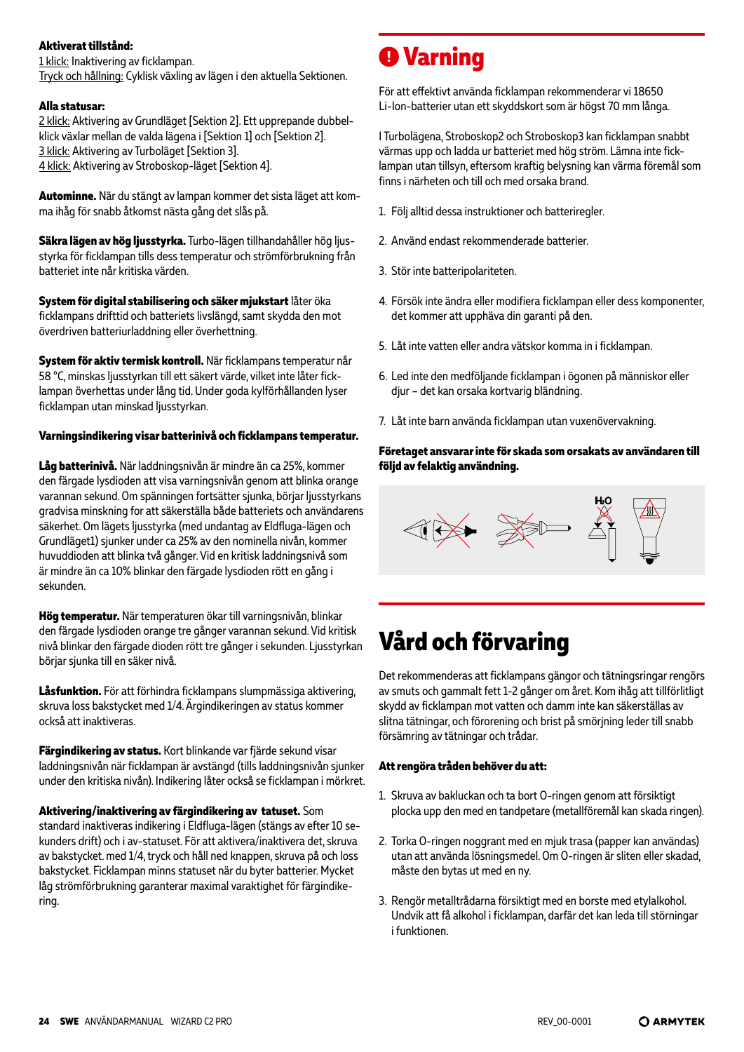#### **Aktiverat tillstånd:**

1 klick: Inaktivering av ficklampan. Tryck och hållning: Cyklisk växling av lägen i den aktuella Sektionen.

#### **Alla statusar:**

2 klick: Aktivering av Grundläget [Sektion 2]. Ett upprepande dubbelklick växlar mellan de valda lägena i [Sektion 1] och [Sektion 2]. 3 klick: Aktivering av Turboläget [Sektion 3]. 4 klick: Aktivering av Stroboskop-läget [Sektion 4].

**Autominne.** När du stängt av lampan kommer det sista läget att komma ihåg för snabb åtkomst nästa gång det slås på.

**Säkra lägen av hög ljusstyrka.** Turbo-lägen tillhandahåller hög ljusstyrka för ficklampan tills dess temperatur och strömförbrukning från batteriet inte når kritiska värden.

**System för digital stabilisering och säker mjukstart** låter öka ficklampans drifttid och batteriets livslängd, samt skydda den mot överdriven batteriurladdning eller överhettning.

**System för aktiv termisk kontroll.** När ficklampans temperatur når 58 °C, minskas ljusstyrkan till ett säkert värde, vilket inte låter ficklampan överhettas under lång tid. Under goda kylförhållanden lyser ficklampan utan minskad ljusstyrkan.

#### **Varningsindikering visar batterinivå och ficklampans temperatur.**

**Låg batterinivå.** När laddningsnivån är mindre än ca 25%, kommer den färgade lysdioden att visa varningsnivån genom att blinka orange varannan sekund. Om spänningen fortsätter sjunka, börjar ljusstyrkans gradvisa minskning for att säkerställa både batteriets och användarens säkerhet. Om lägets ljusstyrka (med undantag av Eldfluga-lägen och Grundläget1) sjunker under ca 25% av den nominella nivån, kommer huvuddioden att blinka två gånger. Vid en kritisk laddningsnivå som är mindre än ca 10% blinkar den färgade lysdioden rött en gång i sekunden.

**Hög temperatur.** När temperaturen ökar till varningsnivån, blinkar den färgade lysdioden orange tre gånger varannan sekund. Vid kritisk nivå blinkar den färgade dioden rött tre gånger i sekunden. Ljusstyrkan börjar sjunka till en säker nivå.

**Låsfunktion.** För att förhindra ficklampans slumpmässiga aktivering, skruva loss bakstycket med 1/4. Ärgindikeringen av status kommer också att inaktiveras.

**Färgindikering av status.** Kort blinkande var fjärde sekund visar laddningsnivån när ficklampan är avstängd (tills laddningsnivån sjunker under den kritiska nivån). Indikering låter också se ficklampan i mörkret.

**Aktivering/inaktivering av färgindikering av tatuset.** Som standard inaktiveras indikering i Eldfluga-lägen (stängs av efter 10 sekunders drift) och i av-statuset. För att aktivera/inaktivera det, skruva av bakstycket. med 1/4, tryck och håll ned knappen, skruva på och loss bakstycket. Ficklampan minns statuset när du byter batterier. Mycket låg strömförbrukning garanterar maximal varaktighet för färgindikering.

## **Varning**

För att effektivt använda ficklampan rekommenderar vi 18650 Li-Ion-batterier utan ett skyddskort som är högst 70 mm långa.

I Turbolägena, Stroboskop2 och Stroboskop3 kan ficklampan snabbt värmas upp och ladda ur batteriet med hög ström. Lämna inte ficklampan utan tillsyn, eftersom kraftig belysning kan värma föremål som finns i närheten och till och med orsaka brand.

- 1. Följ alltid dessa instruktioner och batteriregler.
- 2. Använd endast rekommenderade batterier.
- 3. Stör inte batteripolariteten.
- 4. Försök inte ändra eller modifiera ficklampan eller dess komponenter, det kommer att upphäva din garanti på den.
- 5. Låt inte vatten eller andra vätskor komma in i ficklampan.
- 6. Led inte den medföljande ficklampan i ögonen på människor eller djur – det kan orsaka kortvarig bländning.
- 7. Låt inte barn använda ficklampan utan vuxenövervakning.

#### **Företaget ansvarar inte för skada som orsakats av användaren till följd av felaktig användning.**



## **Vård och förvaring**

Det rekommenderas att ficklampans gängor och tätningsringar rengörs av smuts och gammalt fett 1-2 gånger om året. Kom ihåg att tillförlitligt skydd av ficklampan mot vatten och damm inte kan säkerställas av slitna tätningar, och förorening och brist på smörjning leder till snabb försämring av tätningar och trådar.

#### **Att rengöra tråden behöver du att:**

- 1. Skruva av bakluckan och ta bort O-ringen genom att försiktigt plocka upp den med en tandpetare (metallföremål kan skada ringen).
- 2. Torka O-ringen noggrant med en mjuk trasa (papper kan användas) utan att använda lösningsmedel. Om O-ringen är sliten eller skadad, måste den bytas ut med en ny.
- 3. Rengör metalltrådarna försiktigt med en borste med etylalkohol. Undvik att få alkohol i ficklampan, darfär det kan leda till störningar i funktionen.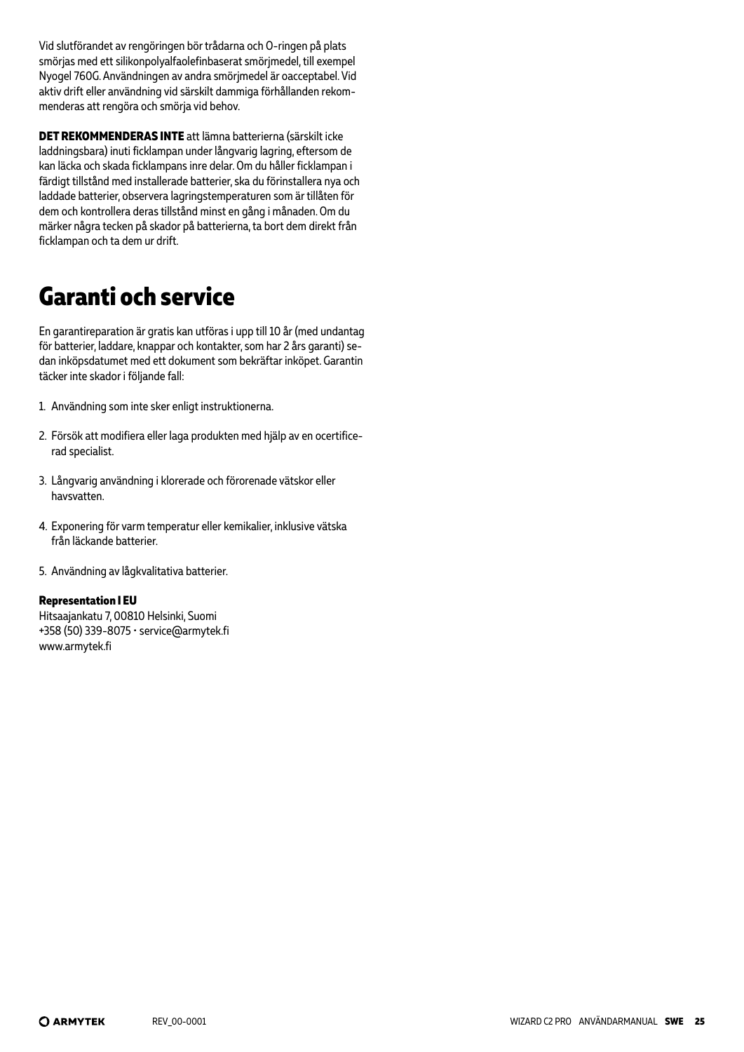Vid slutförandet av rengöringen bör trådarna och O-ringen på plats smörjas med ett silikonpolyalfaolefinbaserat smörjmedel, till exempel Nyogel 760G. Användningen av andra smörjmedel är oacceptabel. Vid aktiv drift eller användning vid särskilt dammiga förhållanden rekommenderas att rengöra och smörja vid behov.

**DET REKOMMENDERAS INTE** att lämna batterierna (särskilt icke laddningsbara) inuti ficklampan under långvarig lagring, eftersom de kan läcka och skada ficklampans inre delar. Om du håller ficklampan i färdigt tillstånd med installerade batterier, ska du förinstallera nya och laddade batterier, observera lagringstemperaturen som är tillåten för dem och kontrollera deras tillstånd minst en gång i månaden. Om du märker några tecken på skador på batterierna, ta bort dem direkt från ficklampan och ta dem ur drift.

## **Garanti och service**

En garantireparation är gratis kan utföras i upp till 10 år (med undantag för batterier, laddare, knappar och kontakter, som har 2 års garanti) sedan inköpsdatumet med ett dokument som bekräftar inköpet. Garantin täcker inte skador i följande fall:

- 1. Användning som inte sker enligt instruktionerna.
- 2. Försök att modifiera eller laga produkten med hjälp av en ocertificerad specialist.
- 3. Långvarig användning i klorerade och förorenade vätskor eller havsvatten.
- 4. Exponering för varm temperatur eller kemikalier, inklusive vätska från läckande batterier.
- 5. Användning av lågkvalitativa batterier.

#### **Representation I EU**

Hitsaajankatu 7, 00810 Helsinki, Suomi +358 (50) 339-8075 • service@armytek.fi www.armytek.fi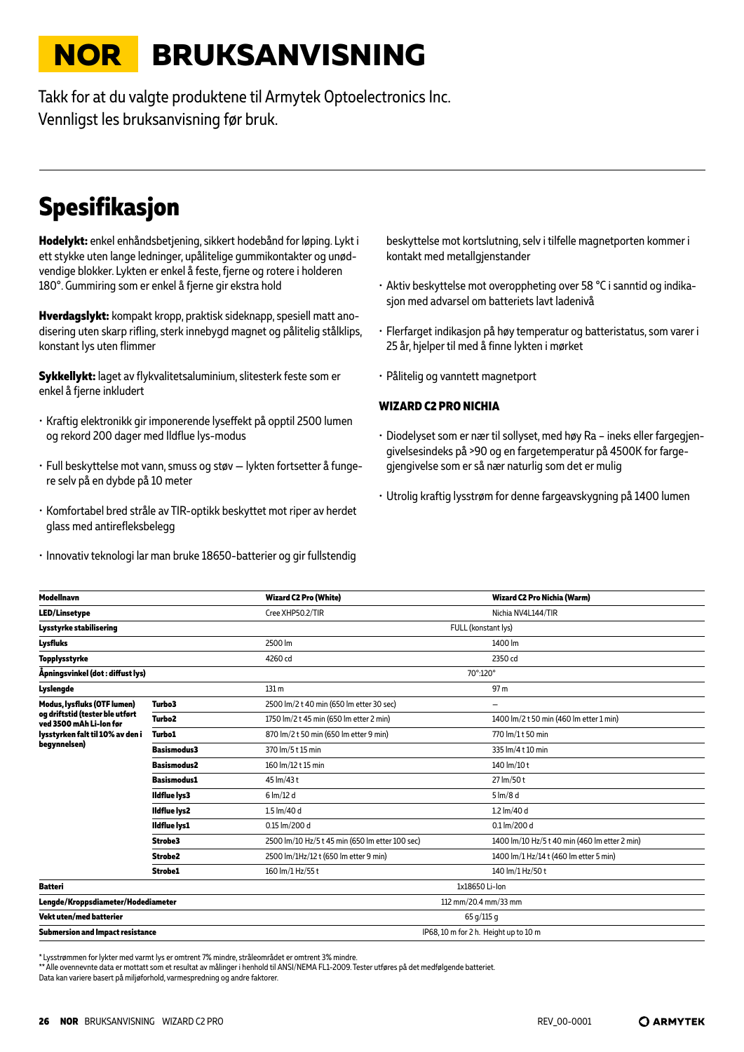# <span id="page-25-0"></span>**NOR BRUKSANVISNING**

Takk for at du valgte produktene til Armytek Optoelectronics Inc. Vennligst les bruksanvisning før bruk.

## **Spesifikasjon**

**Hodelykt:** enkel enhåndsbetjening, sikkert hodebånd for løping. Lykt i ett stykke uten lange ledninger, upålitelige gummikontakter og unødvendige blokker. Lykten er enkel å feste, fjerne og rotere i holderen 180°. Gummiring som er enkel å fjerne gir ekstra hold

**Hverdagslykt:** kompakt kropp, praktisk sideknapp, spesiell matt anodisering uten skarp rifling, sterk innebygd magnet og pålitelig stålklips, konstant lys uten flimmer

**Sykkellykt:** laget av flykvalitetsaluminium, slitesterk feste som er enkel å fjerne inkludert

- Kraftig elektronikk gir imponerende lyseffekt på opptil 2500 lumen og rekord 200 dager med Ildflue lys-modus
- Full beskyttelse mot vann, smuss og støv lykten fortsetter å fungere selv på en dybde på 10 meter
- Komfortabel bred stråle av TIR-optikk beskyttet mot riper av herdet glass med antirefleksbelegg
- Innovativ teknologi lar man bruke 18650-batterier og gir fullstendig

beskyttelse mot kortslutning, selv i tilfelle magnetporten kommer i kontakt med metallgjenstander

- Aktiv beskyttelse mot overoppheting over 58 °C i sanntid og indikasjon med advarsel om batteriets lavt ladenivå
- Flerfarget indikasjon på høy temperatur og batteristatus, som varer i 25 år, hjelper til med å finne lykten i mørket
- Pålitelig og vanntett magnetport

#### **WIZARD C2 PRO NICHIA**

- Diodelyset som er nær til sollyset, med høy Ra ineks eller fargegjengivelsesindeks på >90 og en fargetemperatur på 4500K for fargegjengivelse som er så nær naturlig som det er mulig
- Utrolig kraftig lysstrøm for denne fargeavskygning på 1400 lumen

| <b>Modellnavn</b>                                          |                     | <b>Wizard C2 Pro (White)</b>                    | Wizard C2 Pro Nichia (Warm)                   |  |
|------------------------------------------------------------|---------------------|-------------------------------------------------|-----------------------------------------------|--|
| <b>LED/Linsetype</b>                                       |                     | Cree XHP50.2/TIR                                | Nichia NV4L144/TIR                            |  |
| Lysstyrke stabilisering                                    |                     |                                                 | FULL (konstant lys)                           |  |
| <b>Lysfluks</b>                                            |                     | 2500 lm                                         | 1400 lm                                       |  |
| <b>Topplysstyrke</b>                                       |                     | 4260 cd                                         | 2350 cd                                       |  |
| Åpningsvinkel (dot : diffust lys)                          |                     |                                                 | 70°:120°                                      |  |
| Lyslengde                                                  |                     | 131 <sub>m</sub>                                | 97 <sub>m</sub>                               |  |
| <b>Modus, lysfluks (OTF lumen)</b>                         | Turbo3              | 2500 lm/2 t 40 min (650 lm etter 30 sec)        | $\overline{\phantom{0}}$                      |  |
| og driftstid (tester ble utført<br>ved 3500 mAh Li-Ion før | Turbo <sub>2</sub>  | 1750 lm/2 t 45 min (650 lm etter 2 min)         | 1400 lm/2 t 50 min (460 lm etter 1 min)       |  |
| lysstyrken falt til 10% av den i                           | Turbo1              | 870 lm/2 t 50 min (650 lm etter 9 min)          | 770 lm/1 t 50 min                             |  |
| begynnelsen)                                               | <b>Basismodus3</b>  | 370 lm/5 t 15 min                               | 335 lm/4 t 10 min                             |  |
|                                                            | <b>Basismodus2</b>  | 160 lm/12 t 15 min                              | 140 lm/10 t                                   |  |
|                                                            | <b>Basismodus1</b>  | 45 lm/43 t                                      | 27 lm/50 t                                    |  |
|                                                            | <b>Ildflue lys3</b> | 6 lm/12 d                                       | $5 \, \text{Im}/\text{8} \, \text{d}$         |  |
|                                                            | <b>Ildflue lys2</b> | 1.5 lm/40 d                                     | 1.2 lm/40 d                                   |  |
|                                                            | <b>Ildflue lys1</b> | 0.15 lm/200 d                                   | $0.1 \, \text{Im}/200 \, \text{d}$            |  |
|                                                            | Strobe3             | 2500 lm/10 Hz/5 t 45 min (650 lm etter 100 sec) | 1400 lm/10 Hz/5 t 40 min (460 lm etter 2 min) |  |
|                                                            | Strobe <sub>2</sub> | 2500 lm/1Hz/12 t (650 lm etter 9 min)           | 1400 lm/1 Hz/14 t (460 lm etter 5 min)        |  |
|                                                            | <b>Strobe1</b>      | 160 lm/1 Hz/55 t                                | 140 lm/1 Hz/50 t                              |  |
| <b>Batteri</b>                                             |                     | 1x18650 Li-lon                                  |                                               |  |
| Lengde/Kroppsdiameter/Hodediameter                         |                     | 112 mm/20.4 mm/33 mm                            |                                               |  |
| Vekt uten/med batterier                                    |                     |                                                 | 65 g/115 g                                    |  |
| <b>Submersion and Impact resistance</b>                    |                     | IP68, 10 m for 2 h. Height up to 10 m           |                                               |  |

\* Lysstrømmen for lykter med varmt lys er omtrent 7% mindre, stråleområdet er omtrent 3% mindre.

\*\* Alle ovennevnte data er mottatt som et resultat av målinger i henhold til ANSI/NEMA FL1-2009. Tester utføres på det medfølgende batteriet. Data kan variere basert på miljøforhold, varmespredning og andre faktorer.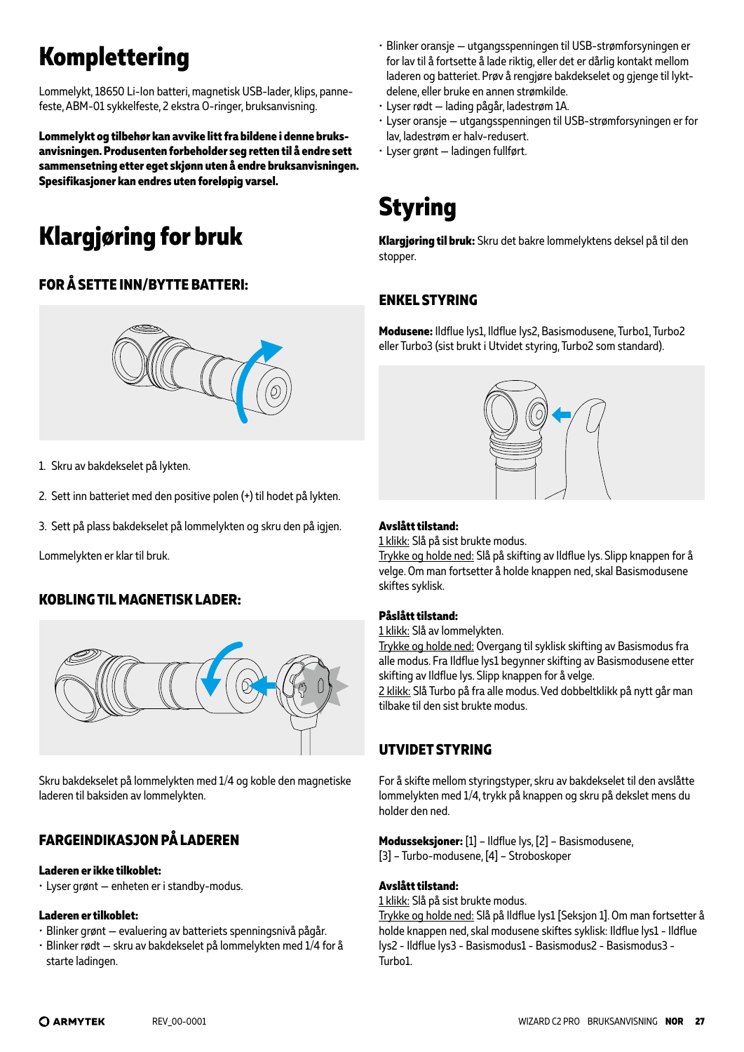## **Komplettering**

Lommelykt, 18650 Li-Ion batteri, magnetisk USB-lader, klips, pannefeste, ABM-01 sykkelfeste, 2 ekstra O-ringer, bruksanvisning.

**Lommelykt og tilbehør kan avvike litt fra bildene i denne bruksanvisningen. Produsenten forbeholder seg retten til å endre sett sammensetning etter eget skjønn uten å endre bruksanvisningen. Spesifikasjoner kan endres uten foreløpig varsel.**

## **Klargjøring for bruk**

### **FOR Å SETTE INN/BYTTE BATTERI:**



- 1. Skru av bakdekselet på lykten.
- 2. Sett inn batteriet med den positive polen (+) til hodet på lykten.
- 3. Sett på plass bakdekselet på lommelykten og skru den på igjen.

Lommelykten er klar til bruk.

### **KOBLING TIL MAGNETISK LADER:**



Skru bakdekselet på lommelykten med 1/4 og koble den magnetiske laderen til baksiden av lommelykten.

### **FARGEINDIKASJON PÅ LADEREN**

#### **Laderen er ikke tilkoblet:**

• Lyser grønt — enheten er i standby-modus.

#### **Laderen er tilkoblet:**

- Blinker grønt evaluering av batteriets spenningsnivå pågår.
- Blinker rødt skru av bakdekselet på lommelykten med 1/4 for å starte ladingen.
- Blinker oransje utgangsspenningen til USB-strømforsyningen er for lav til å fortsette å lade riktig, eller det er dårlig kontakt mellom laderen og batteriet. Prøv å rengjøre bakdekselet og gjenge til lyktdelene, eller bruke en annen strømkilde.
- Lyser rødt lading pågår, ladestrøm 1A.
- Lyser oransje utgangsspenningen til USB-strømforsyningen er for lav, ladestrøm er halv-redusert.
- Lyser grønt ladingen fullført.

## **Styring**

**Klargjøring til bruk:** Skru det bakre lommelyktens deksel på til den stopper.

### **ENKEL STYRING**

**Modusene:** Ildflue lys1, Ildflue lys2, Basismodusene, Turbo1, Turbo2 eller Turbo3 (sist brukt i Utvidet styring, Turbo2 som standard).



#### **Avslått tilstand:**

1 klikk: Slå på sist brukte modus.

Trykke og holde ned: Slå på skifting av Ildflue lys. Slipp knappen for å velge. Om man fortsetter å holde knappen ned, skal Basismodusene skiftes syklisk.

#### **Påslått tilstand:**

1 klikk: Slå av lommelykten.

Trykke og holde ned: Overgang til syklisk skifting av Basismodus fra alle modus. Fra Ildflue lys1 begynner skifting av Basismodusene etter skifting av Ildflue lys. Slipp knappen for å velge.

2 klikk: Slå Turbo på fra alle modus. Ved dobbeltklikk på nytt går man tilbake til den sist brukte modus.

### **UTVIDET STYRING**

For å skifte mellom styringstyper, skru av bakdekselet til den avslåtte lommelykten med 1/4, trykk på knappen og skru på dekslet mens du holder den ned.

**Modusseksjoner:** [1] – Ildflue lys, [2] – Basismodusene, [3] – Turbo-modusene, [4] – Stroboskoper

#### **Avslått tilstand:**

1 klikk: Slå på sist brukte modus.

Trykke og holde ned: Slå på Ildflue lys1 [Seksjon 1]. Om man fortsetter å holde knappen ned, skal modusene skiftes syklisk: Ildflue lys1 - Ildflue lys2 - Ildflue lys3 - Basismodus1 - Basismodus2 - Basismodus3 - Turbo1.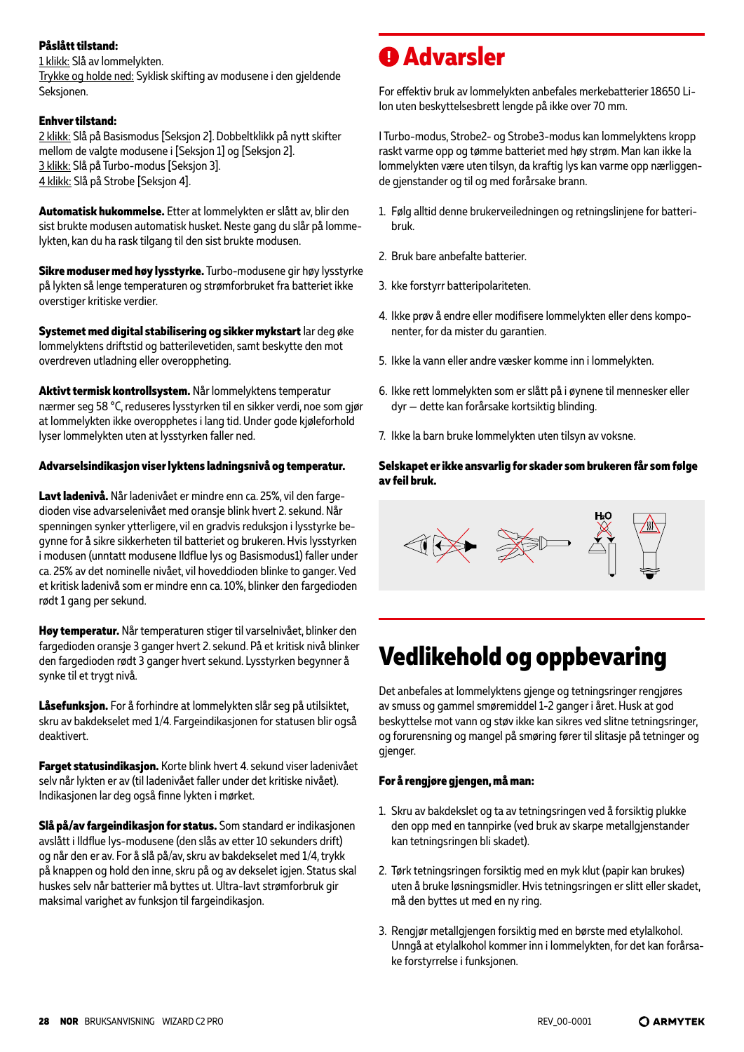#### **Påslått tilstand:**

1 klikk: Slå av lommelykten. Trykke og holde ned: Syklisk skifting av modusene i den gjeldende Seksjonen.

#### **Enhver tilstand:**

2 klikk: Slå på Basismodus [Seksjon 2]. Dobbeltklikk på nytt skifter mellom de valgte modusene i [Seksjon 1] og [Seksjon 2]. 3 klikk: Slå på Turbo-modus [Seksjon 3]. 4 klikk: Slå på Strobe [Seksjon 4].

**Automatisk hukommelse.** Etter at lommelykten er slått av, blir den sist brukte modusen automatisk husket. Neste gang du slår på lommelykten, kan du ha rask tilgang til den sist brukte modusen.

**Sikre moduser med høy lysstyrke.** Turbo-modusene gir høy lysstyrke på lykten så lenge temperaturen og strømforbruket fra batteriet ikke overstiger kritiske verdier.

**Systemet med digital stabilisering og sikker mykstart** lar deg øke lommelyktens driftstid og batterilevetiden, samt beskytte den mot overdreven utladning eller overoppheting.

**Aktivt termisk kontrollsystem.** Når lommelyktens temperatur nærmer seg 58 °C, reduseres lysstyrken til en sikker verdi, noe som gjør at lommelykten ikke overopphetes i lang tid. Under gode kjøleforhold lyser lommelykten uten at lysstyrken faller ned.

#### **Advarselsindikasjon viser lyktens ladningsnivå og temperatur.**

**Lavt ladenivå.** Når ladenivået er mindre enn ca. 25%, vil den fargedioden vise advarselenivået med oransje blink hvert 2. sekund. Når spenningen synker ytterligere, vil en gradvis reduksjon i lysstyrke begynne for å sikre sikkerheten til batteriet og brukeren. Hvis lysstyrken i modusen (unntatt modusene Ildflue lys og Basismodus1) faller under ca. 25% av det nominelle nivået, vil hoveddioden blinke to ganger. Ved et kritisk ladenivå som er mindre enn ca. 10%, blinker den fargedioden rødt 1 gang per sekund.

**Høy temperatur.** Når temperaturen stiger til varselnivået, blinker den fargedioden oransje 3 ganger hvert 2. sekund. På et kritisk nivå blinker den fargedioden rødt 3 ganger hvert sekund. Lysstyrken begynner å synke til et trygt nivå.

**Låsefunksjon.** For å forhindre at lommelykten slår seg på utilsiktet, skru av bakdekselet med 1/4. Fargeindikasjonen for statusen blir også deaktivert.

**Farget statusindikasjon.** Korte blink hvert 4. sekund viser ladenivået selv når lykten er av (til ladenivået faller under det kritiske nivået). Indikasjonen lar deg også finne lykten i mørket.

**Slå på/av fargeindikasjon for status.** Som standard er indikasjonen avslått i Ildflue lys-modusene (den slås av etter 10 sekunders drift) og når den er av. For å slå på/av, skru av bakdekselet med 1/4, trykk på knappen og hold den inne, skru på og av dekselet igjen. Status skal huskes selv når batterier må byttes ut. Ultra-lavt strømforbruk gir maksimal varighet av funksjon til fargeindikasjon.

### **Advarsler**

For effektiv bruk av lommelykten anbefales merkebatterier 18650 Li-Ion uten beskyttelsesbrett lengde på ikke over 70 mm.

I Turbo-modus, Strobe2- og Strobe3-modus kan lommelyktens kropp raskt varme opp og tømme batteriet med høy strøm. Man kan ikke la lommelykten være uten tilsyn, da kraftig lys kan varme opp nærliggende gjenstander og til og med forårsake brann.

- 1. Følg alltid denne brukerveiledningen og retningslinjene for batteribruk.
- 2. Bruk bare anbefalte batterier.
- 3. kke forstyrr batteripolariteten.
- 4. Ikke prøv å endre eller modifisere lommelykten eller dens komponenter, for da mister du garantien.
- 5. Ikke la vann eller andre væsker komme inn i lommelykten.
- 6. Ikke rett lommelykten som er slått på i øynene til mennesker eller dyr — dette kan forårsake kortsiktig blinding.
- 7. Ikke la barn bruke lommelykten uten tilsyn av voksne.

#### **Selskapet er ikke ansvarlig for skader som brukeren får som følge av feil bruk.**



## **Vedlikehold og oppbevaring**

Det anbefales at lommelyktens gjenge og tetningsringer rengjøres av smuss og gammel smøremiddel 1-2 ganger i året. Husk at god beskyttelse mot vann og støv ikke kan sikres ved slitne tetningsringer, og forurensning og mangel på smøring fører til slitasje på tetninger og gjenger.

#### **For å rengjøre gjengen, må man:**

- 1. Skru av bakdekslet og ta av tetningsringen ved å forsiktig plukke den opp med en tannpirke (ved bruk av skarpe metallgjenstander kan tetningsringen bli skadet).
- 2. Tørk tetningsringen forsiktig med en myk klut (papir kan brukes) uten å bruke løsningsmidler. Hvis tetningsringen er slitt eller skadet, må den byttes ut med en ny ring.
- 3. Rengjør metallgjengen forsiktig med en børste med etylalkohol. Unngå at etylalkohol kommer inn i lommelykten, for det kan forårsake forstyrrelse i funksjonen.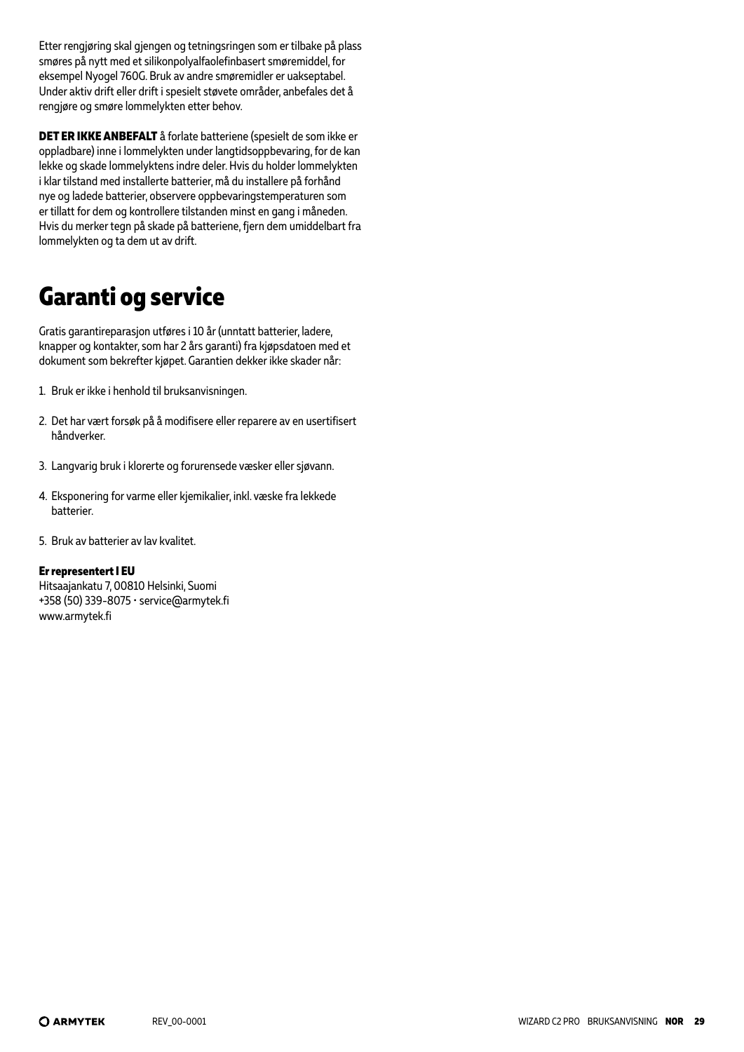Etter rengjøring skal gjengen og tetningsringen som er tilbake på plass smøres på nytt med et silikonpolyalfaolefinbasert smøremiddel, for eksempel Nyogel 760G. Bruk av andre smøremidler er uakseptabel. Under aktiv drift eller drift i spesielt støvete områder, anbefales det å rengjøre og smøre lommelykten etter behov.

**DET ER IKKE ANBEFALT** å forlate batteriene (spesielt de som ikke er oppladbare) inne i lommelykten under langtidsoppbevaring, for de kan lekke og skade lommelyktens indre deler. Hvis du holder lommelykten i klar tilstand med installerte batterier, må du installere på forhånd nye og ladede batterier, observere oppbevaringstemperaturen som er tillatt for dem og kontrollere tilstanden minst en gang i måneden. Hvis du merker tegn på skade på batteriene, fjern dem umiddelbart fra lommelykten og ta dem ut av drift.

## **Garanti og service**

Gratis garantireparasjon utføres i 10 år (unntatt batterier, ladere, knapper og kontakter, som har 2 års garanti) fra kjøpsdatoen med et dokument som bekrefter kjøpet. Garantien dekker ikke skader når:

- 1. Bruk er ikke i henhold til bruksanvisningen.
- 2. Det har vært forsøk på å modifisere eller reparere av en usertifisert håndverker.
- 3. Langvarig bruk i klorerte og forurensede væsker eller sjøvann.
- 4. Eksponering for varme eller kjemikalier, inkl. væske fra lekkede batterier.
- 5. Bruk av batterier av lav kvalitet.

#### **Er representert I EU**

Hitsaajankatu 7, 00810 Helsinki, Suomi +358 (50) 339-8075 • service@armytek.fi www.armytek.fi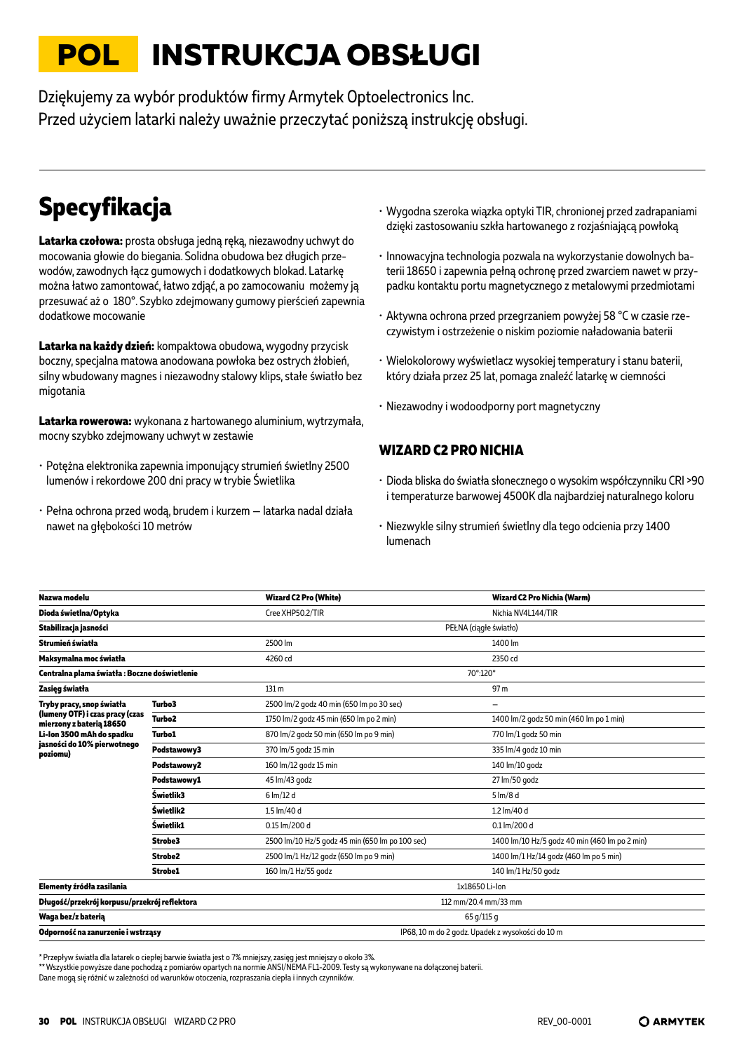# <span id="page-29-0"></span>**POL INSTRUKCJA OBSŁUGI**

Dziękujemy za wybór produktów firmy Armytek Optoelectronics Inc. Przed użyciem latarki należy uważnie przeczytać poniższą instrukcję obsługi.

## **Specyfikacja**

**Latarka czołowa:** prosta obsługa jedną ręką, niezawodny uchwyt do mocowania głowie do biegania. Solidna obudowa bez długich przewodów, zawodnych łącz gumowych i dodatkowych blokad. Latarkę można łatwo zamontować, łatwo zdjąć, a po zamocowaniu możemy ją przesuwać aż o 180°. Szybko zdejmowany gumowy pierścień zapewnia dodatkowe mocowanie

**Latarka na każdy dzień:** kompaktowa obudowa, wygodny przycisk boczny, specjalna matowa anodowana powłoka bez ostrych żłobień, silny wbudowany magnes i niezawodny stalowy klips, stałe światło bez migotania

**Latarka rowerowa:** wykonana z hartowanego aluminium, wytrzymała, mocny szybko zdejmowany uchwyt w zestawie

- Potężna elektronika zapewnia imponujący strumień świetlny 2500 lumenów i rekordowe 200 dni pracy w trybie Świetlika
- Pełna ochrona przed wodą, brudem i kurzem latarka nadal działa nawet na głębokości 10 metrów
- Wygodna szeroka wiązka optyki TIR, chronionej przed zadrapaniami dzięki zastosowaniu szkła hartowanego z rozjaśniającą powłoką
- Innowacyjna technologia pozwala na wykorzystanie dowolnych baterii 18650 i zapewnia pełną ochronę przed zwarciem nawet w przypadku kontaktu portu magnetycznego z metalowymi przedmiotami
- Aktywna ochrona przed przegrzaniem powyżej 58 °С w czasie rzeczywistym i ostrzeżenie o niskim poziomie naładowania baterii
- Wielokolorowy wyświetlacz wysokiej temperatury i stanu baterii, który działa przez 25 lat, pomaga znaleźć latarkę w ciemności
- Niezawodny i wodoodporny port magnetyczny

### **WIZARD C2 PRO NICHIA**

- Dioda bliska do światła słonecznego o wysokim współczynniku CRI >90 i temperaturze barwowej 4500K dla najbardziej naturalnego koloru
- Niezwykle silny strumień świetlny dla tego odcienia przy 1400 lumenach

| Nazwa modelu                                                |                     | <b>Wizard C2 Pro (White)</b>                    | Wizard C2 Pro Nichia (Warm)                      |  |
|-------------------------------------------------------------|---------------------|-------------------------------------------------|--------------------------------------------------|--|
| Dioda świetlna/Optyka                                       |                     | Cree XHP50.2/TIR                                | Nichia NV4L144/TIR                               |  |
| Stabilizacja jasności                                       |                     |                                                 | PEŁNA (ciągłe światło)                           |  |
| Strumień światła                                            |                     | 2500 lm                                         | 1400 lm                                          |  |
| Maksymalna moc światła                                      |                     | 4260 cd                                         | 2350 cd                                          |  |
| Centralna plama światła: Boczne doświetlenie                |                     |                                                 | 70°:120°                                         |  |
| Zasięg światła                                              |                     | 131 <sub>m</sub>                                | 97 <sub>m</sub>                                  |  |
| Tryby pracy, snop światła                                   | Turbo3              | 2500 lm/2 godz 40 min (650 lm po 30 sec)        | $\overline{\phantom{0}}$                         |  |
| (lumeny OTF) i czas pracy (czas<br>mierzony z baterią 18650 | Turbo <sub>2</sub>  | 1750 lm/2 godz 45 min (650 lm po 2 min)         | 1400 lm/2 godz 50 min (460 lm po 1 min)          |  |
| Li-lon 3500 mAh do spadku                                   | Turbo1              | 870 lm/2 godz 50 min (650 lm po 9 min)          | 770 lm/1 godz 50 min                             |  |
| jasności do 10% pierwotnego<br>poziomu)                     | Podstawowy3         | 370 lm/5 godz 15 min                            | 335 lm/4 godz 10 min                             |  |
|                                                             | Podstawowy2         | 160 lm/12 godz 15 min                           | 140 lm/10 godz                                   |  |
|                                                             | Podstawowy1         | 45 lm/43 godz                                   | 27 lm/50 godz                                    |  |
|                                                             | Świetlik3           | 6 lm/12 d                                       | $5 \, \text{Im}/\text{8} \, \text{d}$            |  |
|                                                             | Świetlik2           | 1.5 lm/40 d                                     | 1.2 lm/40 d                                      |  |
|                                                             | Świetlik1           | 0.15 lm/200 d                                   | $0.1 \, \text{Im}/200 \, \text{d}$               |  |
|                                                             | Strobe3             | 2500 lm/10 Hz/5 godz 45 min (650 lm po 100 sec) | 1400 lm/10 Hz/5 godz 40 min (460 lm po 2 min)    |  |
|                                                             | Strobe <sub>2</sub> | 2500 lm/1 Hz/12 godz (650 lm po 9 min)          | 1400 lm/1 Hz/14 godz (460 lm po 5 min)           |  |
|                                                             | <b>Strobe1</b>      | 160 lm/1 Hz/55 godz                             | 140 lm/1 Hz/50 godz                              |  |
| Elementy źródła zasilania                                   |                     |                                                 | 1x18650 Li-lon                                   |  |
| Długość/przekrój korpusu/przekrój reflektora                |                     |                                                 | 112 mm/20.4 mm/33 mm                             |  |
| Waga bez/z bateria                                          |                     |                                                 | 65 g/115 g                                       |  |
| Odporność na zanurzenie i wstrząsy                          |                     |                                                 | IP68, 10 m do 2 godz. Upadek z wysokości do 10 m |  |

\* Przepływ światła dla latarek o ciepłej barwie światła jest o 7% mniejszy, zasięg jest mniejszy o około 3%.

\*\* Wszystkie powyższe dane pochodzą z pomiarów opartych na normie ANSI/NEMA FL1-2009. Testy są wykonywane na dołączonej baterii.

Dane mogą się różnić w zależności od warunków otoczenia, rozpraszania ciepła i innych czynników.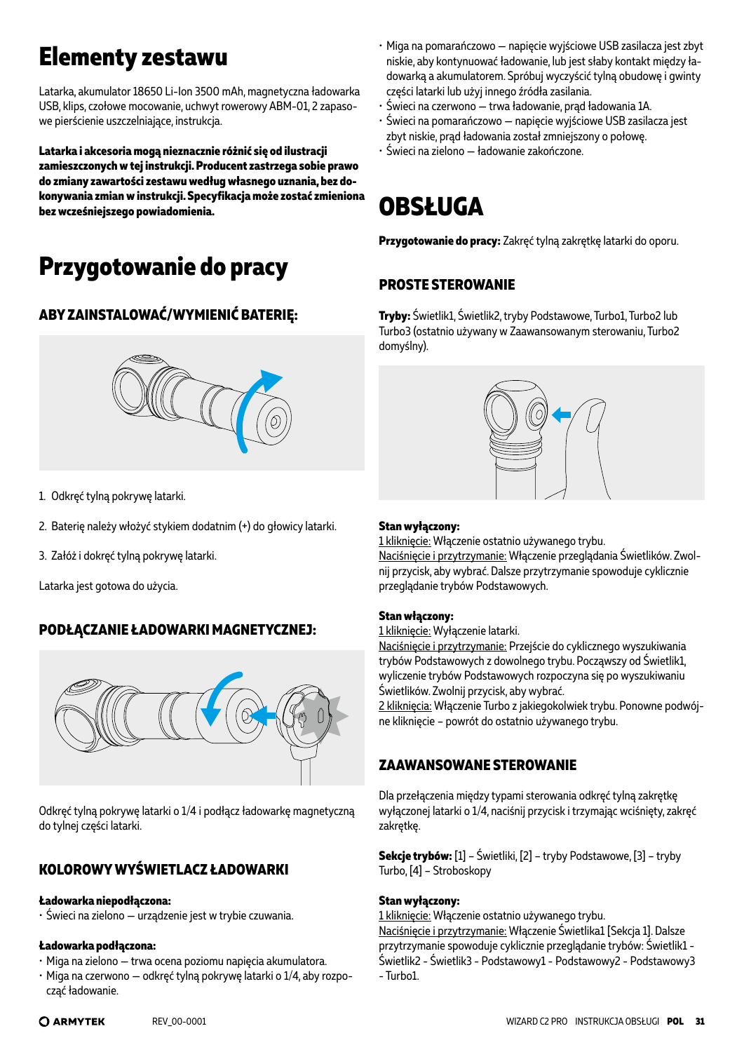## **Elementy zestawu**

Latarka, akumulator 18650 Li-Ion 3500 mAh, magnetyczna ładowarka USB, klips, czołowe mocowanie, uchwyt rowerowy ABM-01, 2 zapasowe pierścienie uszczelniające, instrukcja.

**Latarka i akcesoria mogą nieznacznie różnić się od ilustracji zamieszczonych w tej instrukcji. Producent zastrzega sobie prawo do zmiany zawartości zestawu według własnego uznania, bez dokonywania zmian w instrukcji. Specyfikacja może zostać zmieniona bez wcześniejszego powiadomienia.**

## **Przygotowanie do pracy**

### **ABY ZAINSTALOWAĆ/WYMIENIĆ BATERIĘ:**



- 1. Odkręć tylną pokrywę latarki.
- 2. Baterię należy włożyć stykiem dodatnim (+) do głowicy latarki.
- 3. Załóż i dokręć tylną pokrywę latarki.

Latarka jest gotowa do użycia.

### **PODŁĄCZANIE ŁADOWARKI MAGNETYCZNEJ:**



Odkręć tylną pokrywę latarki o 1/4 i podłącz ładowarkę magnetyczną do tylnej części latarki.

### **KOLOROWY WYŚWIETLACZ ŁADOWARKI**

#### **Ładowarka niepodłączona:**

• Świeci na zielono — urządzenie jest w trybie czuwania.

#### **Ładowarka podłączona:**

- Miga na zielono trwa ocena poziomu napięcia akumulatora.
- Miga na czerwono odkręć tylną pokrywę latarki o 1/4, aby rozpocząć ładowanie.
- Miga na pomarańczowo napięcie wyjściowe USB zasilacza jest zbyt niskie, aby kontynuować ładowanie, lub jest słaby kontakt między ładowarką a akumulatorem. Spróbuj wyczyścić tylną obudowę i gwinty części latarki lub użyj innego źródła zasilania.
- Świeci na czerwono trwa ładowanie, prąd ładowania 1A.
- Świeci na pomarańczowo napięcie wyjściowe USB zasilacza jest zbyt niskie, prąd ładowania został zmniejszony o połowę.
- Świeci na zielono ładowanie zakończone.

## **OBSŁUGA**

**Przygotowanie do pracy:** Zakręć tylną zakrętkę latarki do oporu.

### **PROSTE STEROWANIE**

**Tryby:** Świetlik1, Świetlik2, tryby Podstawowe, Turbo1, Turbo2 lub Turbo3 (ostatnio używany w Zaawansowanym sterowaniu, Turbo2 domyślny).



#### **Stan wyłączony:**

1 kliknięcie: Włączenie ostatnio używanego trybu. Naciśnięcie i przytrzymanie: Włączenie przeglądania Świetlików. Zwolnij przycisk, aby wybrać. Dalsze przytrzymanie spowoduje cyklicznie przeglądanie trybów Podstawowych.

#### **Stan włączony:**

1 kliknięcie: Wyłączenie latarki.

Naciśnięcie i przytrzymanie: Przejście do cyklicznego wyszukiwania trybów Podstawowych z dowolnego trybu. Począwszy od Świetlik1, wyliczenie trybów Podstawowych rozpoczyna się po wyszukiwaniu Świetlików. Zwolnij przycisk, aby wybrać.

2 kliknięcia: Włączenie Turbo z jakiegokolwiek trybu. Ponowne podwójne kliknięcie – powrót do ostatnio używanego trybu.

### **ZAAWANSOWANE STEROWANIE**

Dla przełączenia między typami sterowania odkręć tylną zakrętkę wyłączonej latarki o 1/4, naciśnij przycisk i trzymając wciśnięty, zakręć zakrętkę.

**Sekcje trybów:** [1] – Świetliki, [2] – tryby Podstawowe, [3] – tryby Turbo, [4] – Stroboskopy

#### **Stan wyłączony:**

1 kliknięcie: Włączenie ostatnio używanego trybu. Naciśnięcie i przytrzymanie: Włączenie Świetlika1 [Sekcja 1]. Dalsze przytrzymanie spowoduje cyklicznie przeglądanie trybów: Świetlik1 - Świetlik2 - Świetlik3 - Podstawowy1 - Podstawowy2 - Podstawowy3 - Turbo1.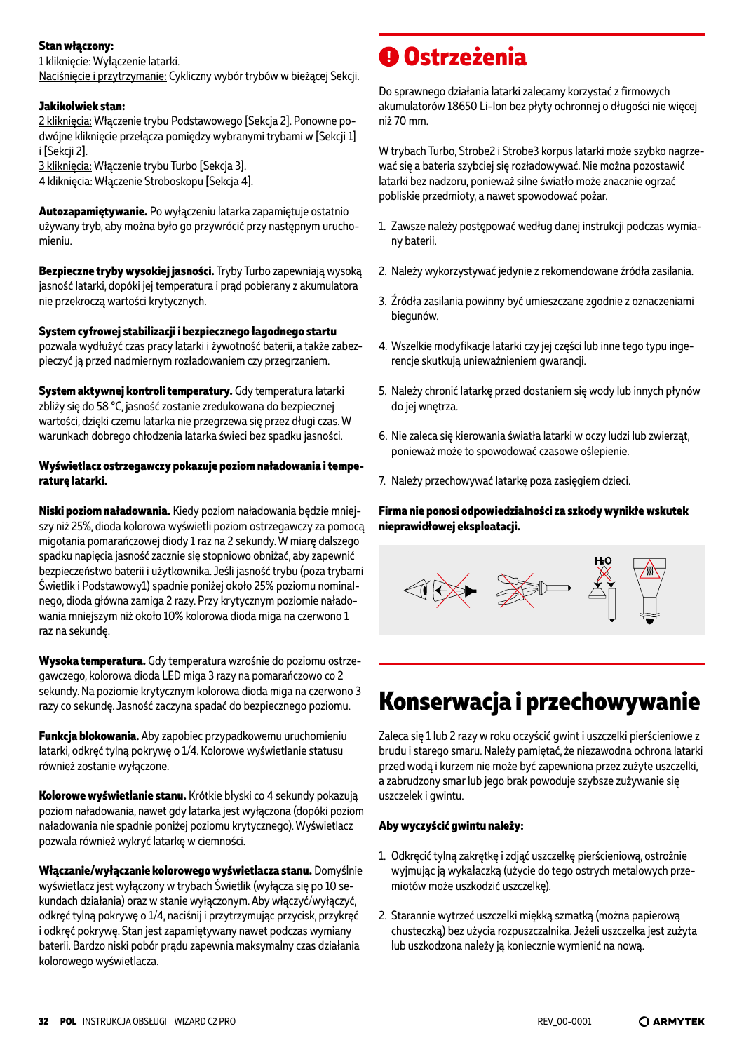#### **Stan włączony:**

1 kliknięcie: Wyłączenie latarki.

Naciśnięcie i przytrzymanie: Cykliczny wybór trybów w bieżącej Sekcji.

#### **Jakikolwiek stan:**

2 kliknięcia: Włączenie trybu Podstawowego [Sekcja 2]. Ponowne podwójne kliknięcie przełącza pomiędzy wybranymi trybami w [Sekcji 1] i [Sekcji 2].

3 kliknięcia: Włączenie trybu Turbo [Sekcja 3]. 4 kliknięcia: Włączenie Stroboskopu [Sekcja 4].

**Autozapamiętywanie.** Po wyłączeniu latarka zapamiętuje ostatnio używany tryb, aby można było go przywrócić przy następnym uruchomieniu.

**Bezpieczne tryby wysokiej jasności.** Tryby Turbo zapewniają wysoką jasność latarki, dopóki jej temperatura i prąd pobierany z akumulatora nie przekroczą wartości krytycznych.

**System cyfrowej stabilizacji i bezpiecznego łagodnego startu** pozwala wydłużyć czas pracy latarki i żywotność baterii, a także zabezpieczyć ją przed nadmiernym rozładowaniem czy przegrzaniem.

**System aktywnej kontroli temperatury.** Gdy temperatura latarki zbliży się do 58 °C, jasność zostanie zredukowana do bezpiecznej wartości, dzięki czemu latarka nie przegrzewa się przez długi czas. W warunkach dobrego chłodzenia latarka świeci bez spadku jasności.

#### **Wyświetlacz ostrzegawczy pokazuje poziom naładowania i temperaturę latarki.**

**Niski poziom naładowania.** Kiedy poziom naładowania będzie mniejszy niż 25%, dioda kolorowa wyświetli poziom ostrzegawczy za pomocą migotania pomarańczowej diody 1 raz na 2 sekundy. W miarę dalszego spadku napięcia jasność zacznie się stopniowo obniżać, aby zapewnić bezpieczeństwo baterii i użytkownika. Jeśli jasność trybu (poza trybami Świetlik i Podstawowy1) spadnie poniżej około 25% poziomu nominalnego, dioda główna zamiga 2 razy. Przy krytycznym poziomie naładowania mniejszym niż około 10% kolorowa dioda miga na czerwono 1 raz na sekundę.

**Wysoka temperatura.** Gdy temperatura wzrośnie do poziomu ostrzegawczego, kolorowa dioda LED miga 3 razy na pomarańczowo co 2 sekundy. Na poziomie krytycznym kolorowa dioda miga na czerwono 3 razy co sekundę. Jasność zaczyna spadać do bezpiecznego poziomu.

**Funkcja blokowania.** Aby zapobiec przypadkowemu uruchomieniu latarki, odkręć tylną pokrywę o 1/4. Kolorowe wyświetlanie statusu również zostanie wyłączone.

**Kolorowe wyświetlanie stanu.** Krótkie błyski co 4 sekundy pokazują poziom naładowania, nawet gdy latarka jest wyłączona (dopóki poziom naładowania nie spadnie poniżej poziomu krytycznego). Wyświetlacz pozwala również wykryć latarkę w ciemności.

**Włączanie/wyłączanie kolorowego wyświetlacza stanu.** Domyślnie wyświetlacz jest wyłączony w trybach Świetlik (wyłącza się po 10 sekundach działania) oraz w stanie wyłączonym. Aby włączyć/wyłączyć, odkręć tylną pokrywę o 1/4, naciśnij i przytrzymując przycisk, przykręć i odkręć pokrywę. Stan jest zapamiętywany nawet podczas wymiany baterii. Bardzo niski pobór prądu zapewnia maksymalny czas działania kolorowego wyświetlacza.

## **Ostrzeżenia**

Do sprawnego działania latarki zalecamy korzystać z firmowych akumulatorów 18650 Li-Ion bez płyty ochronnej o długości nie więcej niż 70 mm.

W trybach Turbo, Strobe2 i Strobe3 korpus latarki może szybko nagrzewać się a bateria szybciej się rozładowywać. Nie można pozostawić latarki bez nadzoru, ponieważ silne światło może znacznie ogrzać pobliskie przedmioty, a nawet spowodować pożar.

- 1. Zawsze należy postępować według danej instrukcji podczas wymiany baterii.
- 2. Należy wykorzystywać jedynie z rekomendowane źródła zasilania.
- 3. Źródła zasilania powinny być umieszczane zgodnie z oznaczeniami biegunów.
- 4. Wszelkie modyfikacje latarki czy jej części lub inne tego typu ingerencje skutkują unieważnieniem gwarancji.
- 5. Należy chronić latarkę przed dostaniem się wody lub innych płynów do jej wnętrza.
- 6. Nie zaleca się kierowania światła latarki w oczy ludzi lub zwierząt, ponieważ może to spowodować czasowe oślepienie.
- 7. Należy przechowywać latarkę poza zasięgiem dzieci.

#### **Firma nie ponosi odpowiedzialności za szkody wynikłe wskutek nieprawidłowej eksploatacji.**



## **Konserwacja i przechowywanie**

Zaleca się 1 lub 2 razy w roku oczyścić gwint i uszczelki pierścieniowe z brudu i starego smaru. Należy pamiętać, że niezawodna ochrona latarki przed wodą i kurzem nie może być zapewniona przez zużyte uszczelki, a zabrudzony smar lub jego brak powoduje szybsze zużywanie się uszczelek i gwintu.

#### **Aby wyczyścić gwintu należy:**

- 1. Odkręcić tylną zakrętkę i zdjąć uszczelkę pierścieniową, ostrożnie wyjmując ją wykałaczką (użycie do tego ostrych metalowych przemiotów może uszkodzić uszczelkę).
- 2. Starannie wytrzeć uszczelki miękką szmatką (można papierową chusteczką) bez użycia rozpuszczalnika. Jeżeli uszczelka jest zużyta lub uszkodzona należy ją koniecznie wymienić na nową.